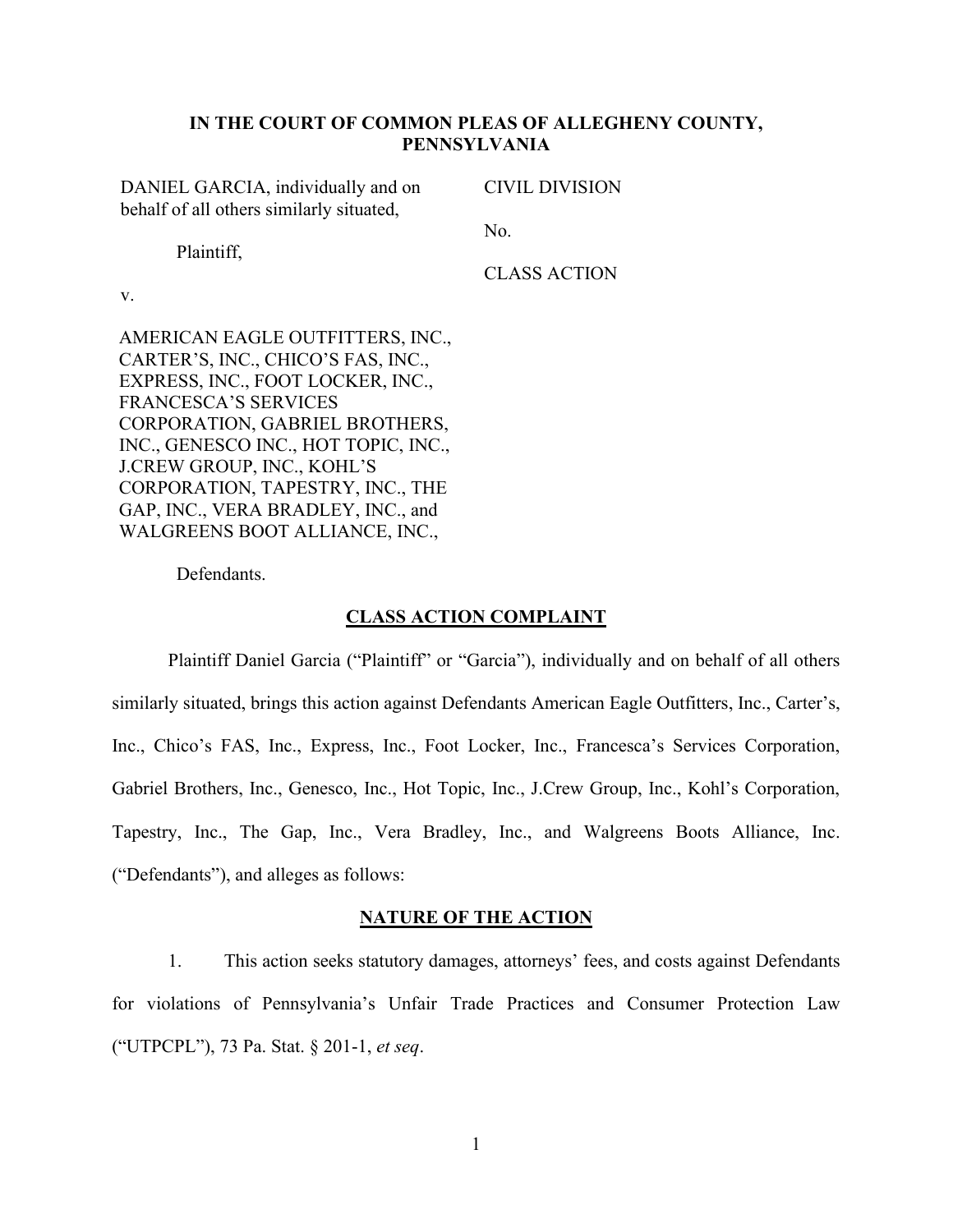## **IN THE COURT OF COMMON PLEAS OF ALLEGHENY COUNTY, PENNSYLVANIA**

DANIEL GARCIA, individually and on behalf of all others similarly situated,

CIVIL DIVISION

Plaintiff,

No.

CLASS ACTION

v.

AMERICAN EAGLE OUTFITTERS, INC., CARTER'S, INC., CHICO'S FAS, INC., EXPRESS, INC., FOOT LOCKER, INC., FRANCESCA'S SERVICES CORPORATION, GABRIEL BROTHERS, INC., GENESCO INC., HOT TOPIC, INC., J.CREW GROUP, INC., KOHL'S CORPORATION, TAPESTRY, INC., THE GAP, INC., VERA BRADLEY, INC., and WALGREENS BOOT ALLIANCE, INC.,

Defendants.

### **CLASS ACTION COMPLAINT**

Plaintiff Daniel Garcia ("Plaintiff" or "Garcia"), individually and on behalf of all others similarly situated, brings this action against Defendants American Eagle Outfitters, Inc., Carter's, Inc., Chico's FAS, Inc., Express, Inc., Foot Locker, Inc., Francesca's Services Corporation, Gabriel Brothers, Inc., Genesco, Inc., Hot Topic, Inc., J.Crew Group, Inc., Kohl's Corporation, Tapestry, Inc., The Gap, Inc., Vera Bradley, Inc., and Walgreens Boots Alliance, Inc. (³Defendants´), and alleges as follows:

#### **NATURE OF THE ACTION**

1. This action seeks statutory damages, attorneys' fees, and costs against Defendants for violations of Pennsylvania's Unfair Trade Practices and Consumer Protection Law (³UTPCPL´), 73 Pa. Stat. § 201-1, *et seq*.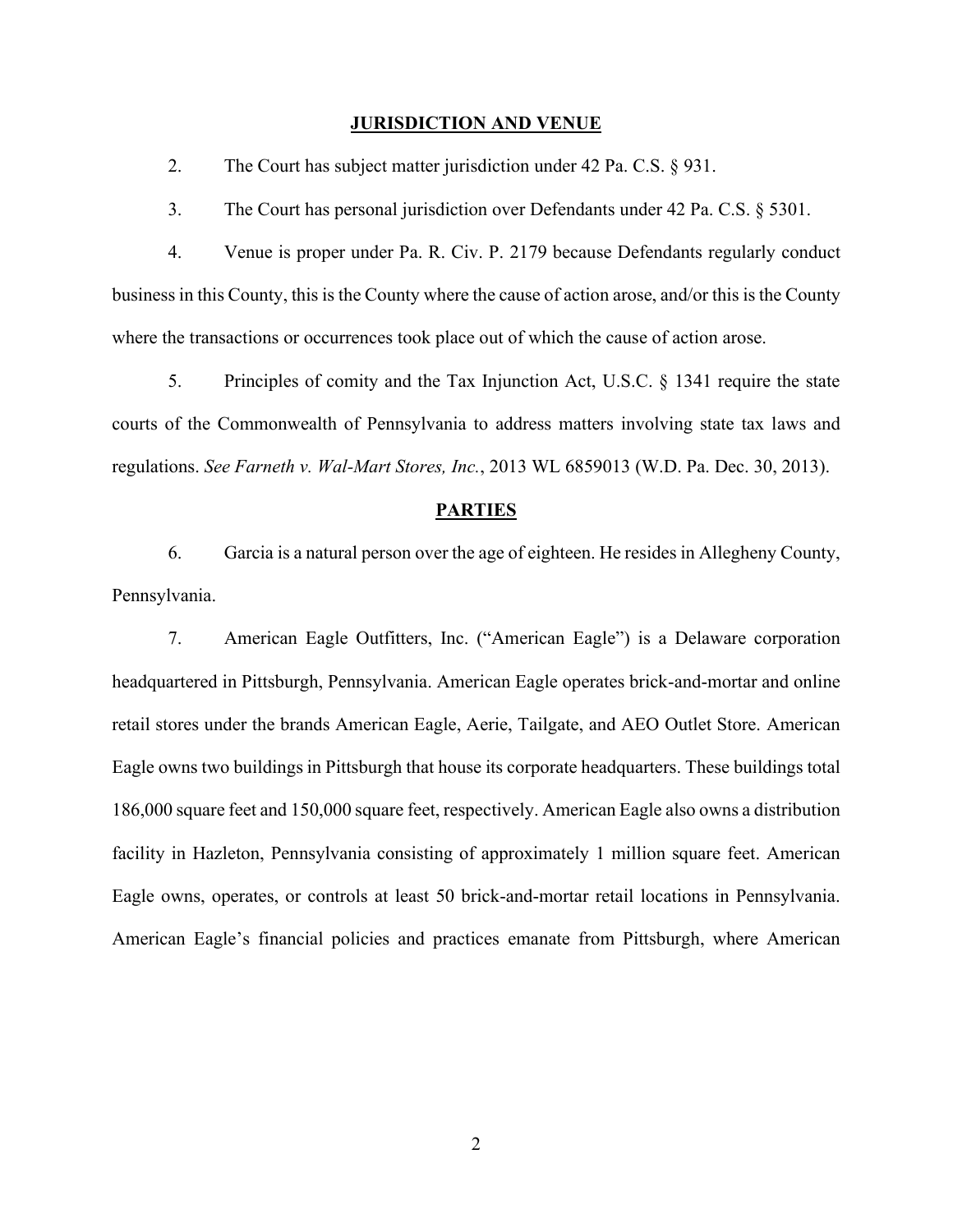#### **JURISDICTION AND VENUE**

2. The Court has subject matter jurisdiction under 42 Pa. C.S. § 931.

3. The Court has personal jurisdiction over Defendants under 42 Pa. C.S. § 5301.

4. Venue is proper under Pa. R. Civ. P. 2179 because Defendants regularly conduct business in this County, this is the County where the cause of action arose, and/or this is the County where the transactions or occurrences took place out of which the cause of action arose.

5. Principles of comity and the Tax Injunction Act, U.S.C. § 1341 require the state courts of the Commonwealth of Pennsylvania to address matters involving state tax laws and regulations. *See Farneth v. Wal-Mart Stores, Inc.*, 2013 WL 6859013 (W.D. Pa. Dec. 30, 2013).

#### **PARTIES**

6. Garcia is a natural person over the age of eighteen. He resides in Allegheny County, Pennsylvania.

7. American Eagle Outfitters, Inc. ("American Eagle") is a Delaware corporation headquartered in Pittsburgh, Pennsylvania. American Eagle operates brick-and-mortar and online retail stores under the brands American Eagle, Aerie, Tailgate, and AEO Outlet Store. American Eagle owns two buildings in Pittsburgh that house its corporate headquarters. These buildings total 186,000 square feet and 150,000 square feet, respectively. American Eagle also owns a distribution facility in Hazleton, Pennsylvania consisting of approximately 1 million square feet. American Eagle owns, operates, or controls at least 50 brick-and-mortar retail locations in Pennsylvania. American Eagle's financial policies and practices emanate from Pittsburgh, where American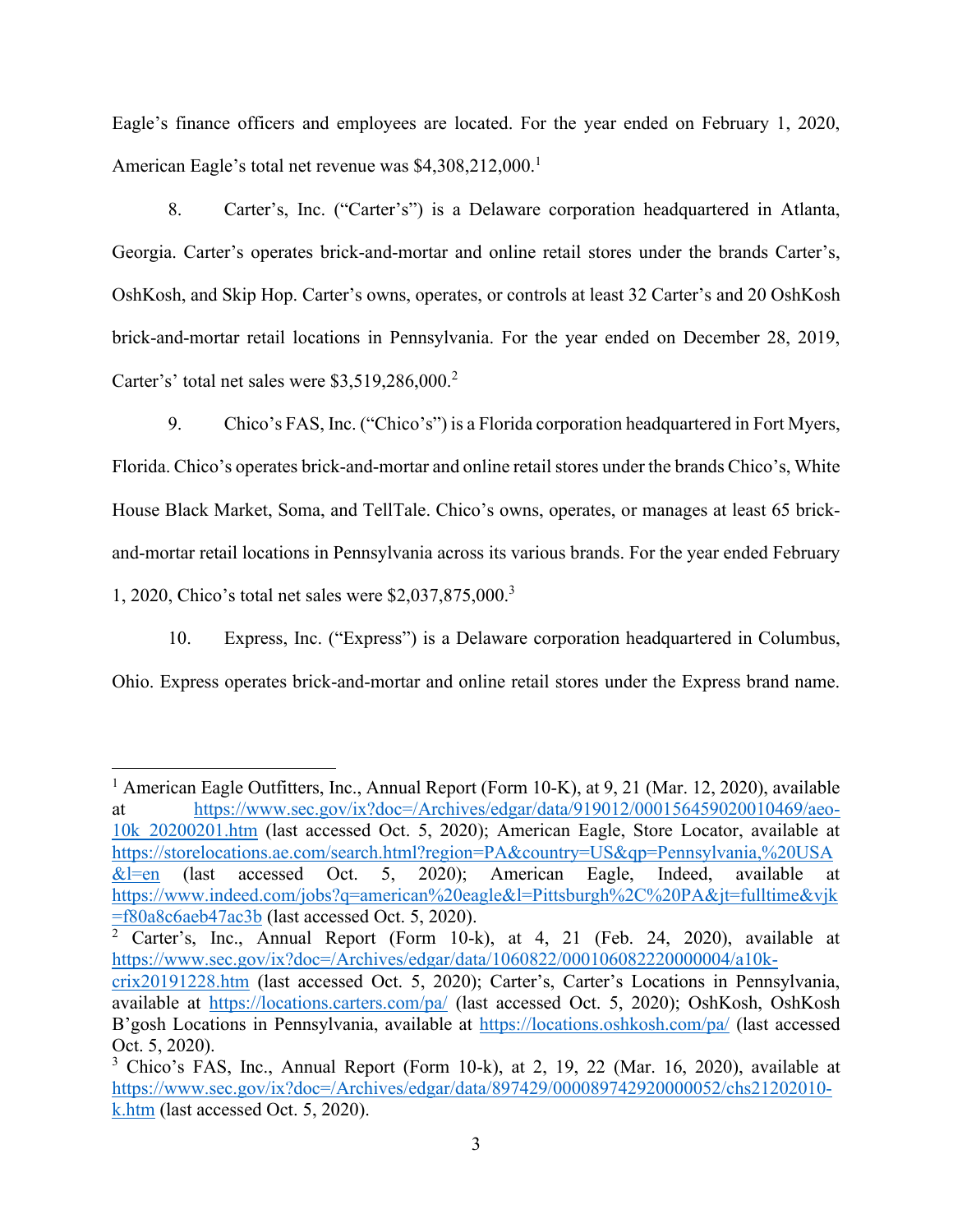Eagle's finance officers and employees are located. For the year ended on February 1, 2020, American Eagle's total net revenue was  $$4,308,212,000$ <sup>1</sup>

8. Carter's, Inc. ("Carter's") is a Delaware corporation headquartered in Atlanta, Georgia. Carter's operates brick-and-mortar and online retail stores under the brands Carter's, OshKosh, and Skip Hop. Carter's owns, operates, or controls at least 32 Carter's and 20 OshKosh brick-and-mortar retail locations in Pennsylvania. For the year ended on December 28, 2019, Carter's' total net sales were  $$3,519,286,000$ .

9. Chico's FAS, Inc. ("Chico's") is a Florida corporation headquartered in Fort Myers, Florida. Chico's operates brick-and-mortar and online retail stores under the brands Chico's, White House Black Market, Soma, and TellTale. Chico's owns, operates, or manages at least 65 brickand-mortar retail locations in Pennsylvania across its various brands. For the year ended February 1, 2020, Chico's total net sales were  $$2,037,875,000.<sup>3</sup>$ 

10. Express, Inc. ("Express") is a Delaware corporation headquartered in Columbus, Ohio. Express operates brick-and-mortar and online retail stores under the Express brand name.

<sup>&</sup>lt;sup>1</sup> American Eagle Outfitters, Inc., Annual Report (Form 10-K), at 9, 21 (Mar. 12, 2020), available at https://www.sec.gov/ix?doc=/Archives/edgar/data/919012/000156459020010469/aeo-10k\_20200201.htm (last accessed Oct. 5, 2020); American Eagle, Store Locator, available at https://storelocations.ae.com/search.html?region=PA&country=US&qp=Pennsylvania,%20USA  $&$  l=en (last accessed Oct. 5, 2020); American Eagle, Indeed, available at https://www.indeed.com/jobs?q=american%20eagle&l=Pittsburgh%2C%20PA&jt=fulltime&vjk =f80a8c6aeb47ac3b (last accessed Oct. 5, 2020).

 $\overline{2}$  Carter's, Inc., Annual Report (Form 10-k), at 4, 21 (Feb. 24, 2020), available at https://www.sec.gov/ix?doc=/Archives/edgar/data/1060822/000106082220000004/a10k-

crix20191228.htm (last accessed Oct. 5, 2020); Carter's, Carter's Locations in Pennsylvania, available at https://locations.carters.com/pa/ (last accessed Oct. 5, 2020); OshKosh, OshKosh B'gosh Locations in Pennsylvania, available at https://locations.oshkosh.com/pa/ (last accessed Oct. 5, 2020).

 $3$  Chico's FAS, Inc., Annual Report (Form 10-k), at 2, 19, 22 (Mar. 16, 2020), available at https://www.sec.gov/ix?doc=/Archives/edgar/data/897429/000089742920000052/chs21202010 k.htm (last accessed Oct. 5, 2020).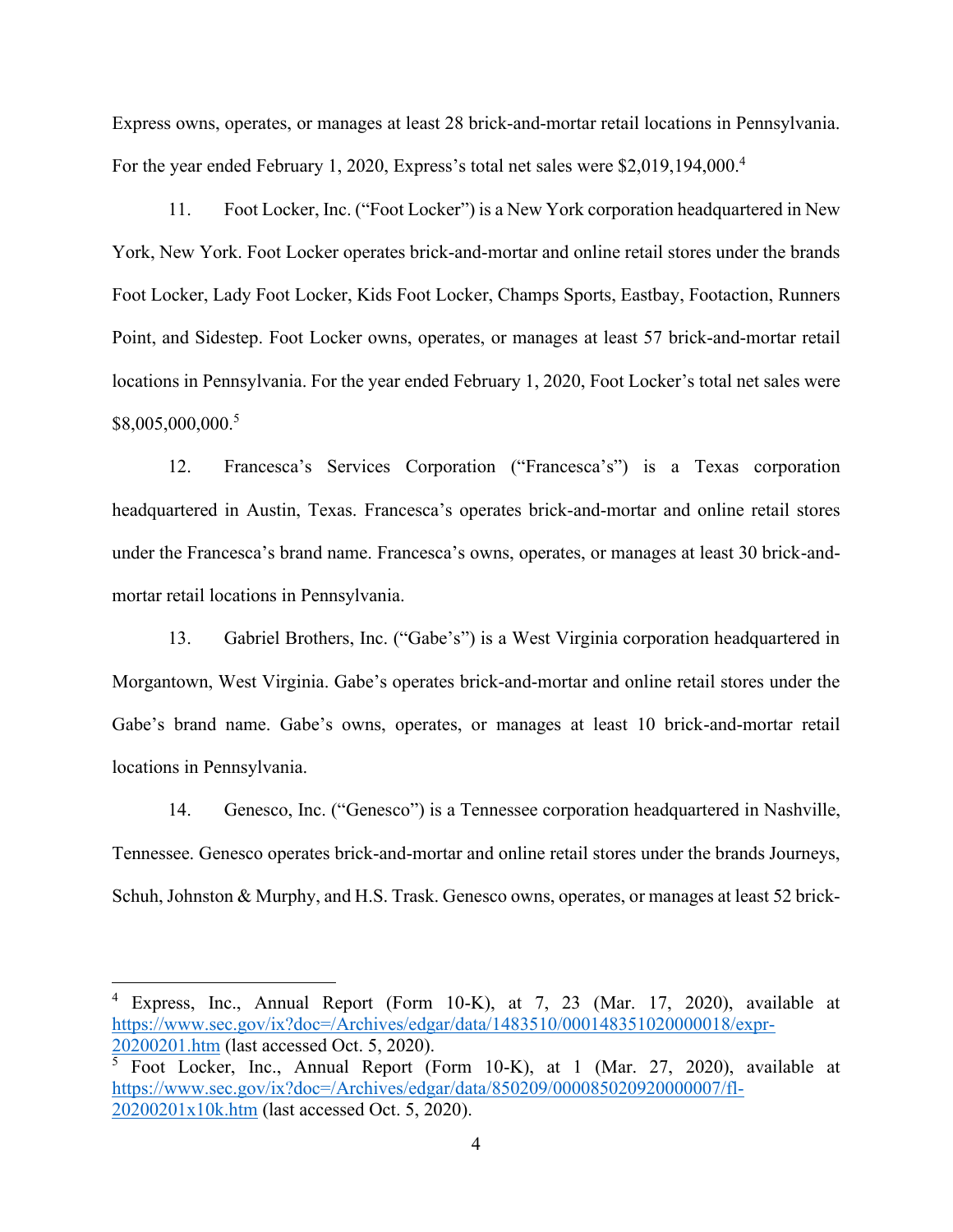Express owns, operates, or manages at least 28 brick-and-mortar retail locations in Pennsylvania. For the year ended February 1, 2020, Express's total net sales were  $$2,019,194,000.<sup>4</sup>$ 

11. Foot Locker, Inc. ("Foot Locker") is a New York corporation headquartered in New York, New York. Foot Locker operates brick-and-mortar and online retail stores under the brands Foot Locker, Lady Foot Locker, Kids Foot Locker, Champs Sports, Eastbay, Footaction, Runners Point, and Sidestep. Foot Locker owns, operates, or manages at least 57 brick-and-mortar retail locations in Pennsylvania. For the year ended February 1, 2020, Foot Locker's total net sales were \$8,005,000,000. 5

12. Francesca's Services Corporation ("Francesca's") is a Texas corporation headquartered in Austin, Texas. Francesca's operates brick-and-mortar and online retail stores under the Francesca's brand name. Francesca's owns, operates, or manages at least 30 brick-andmortar retail locations in Pennsylvania.

13. Gabriel Brothers, Inc. ("Gabe's") is a West Virginia corporation headquartered in Morgantown, West Virginia. Gabe's operates brick-and-mortar and online retail stores under the Gabe's brand name. Gabe's owns, operates, or manages at least 10 brick-and-mortar retail locations in Pennsylvania.

14. Genesco, Inc. ("Genesco") is a Tennessee corporation headquartered in Nashville, Tennessee. Genesco operates brick-and-mortar and online retail stores under the brands Journeys, Schuh, Johnston & Murphy, and H.S. Trask. Genesco owns, operates, or manages at least 52 brick-

<sup>4</sup> Express, Inc., Annual Report (Form 10-K), at 7, 23 (Mar. 17, 2020), available at https://www.sec.gov/ix?doc=/Archives/edgar/data/1483510/000148351020000018/expr-20200201.htm (last accessed Oct. 5, 2020).

<sup>5</sup> Foot Locker, Inc., Annual Report (Form 10-K), at 1 (Mar. 27, 2020), available at https://www.sec.gov/ix?doc=/Archives/edgar/data/850209/000085020920000007/fl-20200201x10k.htm (last accessed Oct. 5, 2020).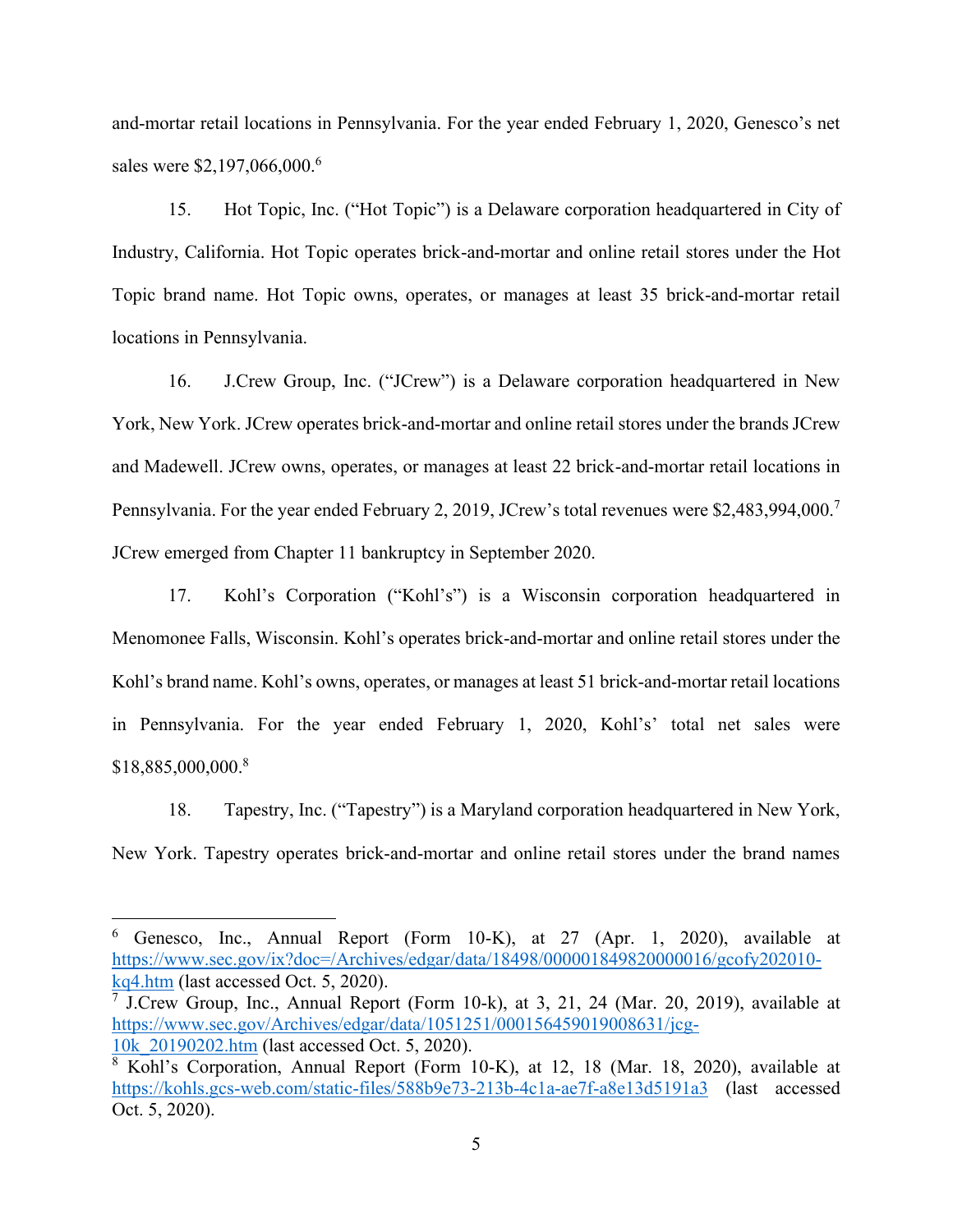and-mortar retail locations in Pennsylvania. For the year ended February 1, 2020, Genesco's net sales were \$2,197,066,000.<sup>6</sup>

15. Hot Topic, Inc. ("Hot Topic") is a Delaware corporation headquartered in City of Industry, California. Hot Topic operates brick-and-mortar and online retail stores under the Hot Topic brand name. Hot Topic owns, operates, or manages at least 35 brick-and-mortar retail locations in Pennsylvania.

16. J.Crew Group, Inc. ("JCrew") is a Delaware corporation headquartered in New York, New York. JCrew operates brick-and-mortar and online retail stores under the brands JCrew and Madewell. JCrew owns, operates, or manages at least 22 brick-and-mortar retail locations in Pennsylvania. For the year ended February 2, 2019, JCrew's total revenues were \$2,483,994,000.<sup>7</sup> JCrew emerged from Chapter 11 bankruptcy in September 2020.

17. Kohl's Corporation ("Kohl's") is a Wisconsin corporation headquartered in Menomonee Falls, Wisconsin. Kohl's operates brick-and-mortar and online retail stores under the Kohl's brand name. Kohl's owns, operates, or manages at least 51 brick-and-mortar retail locations in Pennsylvania. For the year ended February 1, 2020, Kohl's' total net sales were \$18,885,000,000.8

18. Tapestry, Inc. ("Tapestry") is a Maryland corporation headquartered in New York, New York. Tapestry operates brick-and-mortar and online retail stores under the brand names

<sup>6</sup> Genesco, Inc., Annual Report (Form 10-K), at 27 (Apr. 1, 2020), available at https://www.sec.gov/ix?doc=/Archives/edgar/data/18498/000001849820000016/gcofy202010 kq4.htm (last accessed Oct. 5, 2020).

<sup>&</sup>lt;sup>7</sup> J.Crew Group, Inc., Annual Report (Form 10-k), at 3, 21, 24 (Mar. 20, 2019), available at https://www.sec.gov/Archives/edgar/data/1051251/000156459019008631/jcg-10k\_20190202.htm (last accessed Oct. 5, 2020).

 $8\overline{\text{Kohl's Corporation}}$ , Annual Report (Form 10-K), at 12, 18 (Mar. 18, 2020), available at https://kohls.gcs-web.com/static-files/588b9e73-213b-4c1a-ae7f-a8e13d5191a3 (last accessed Oct. 5, 2020).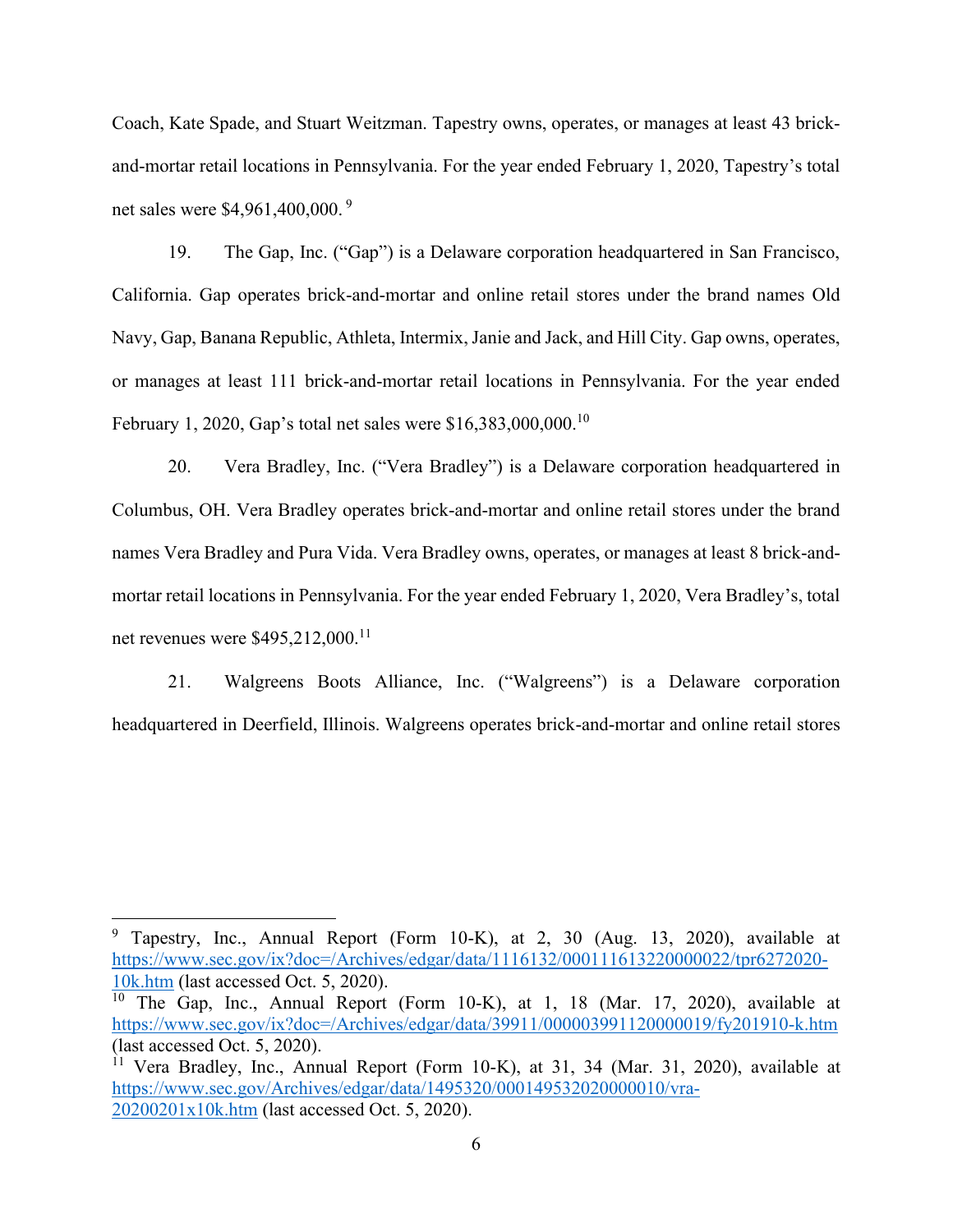Coach, Kate Spade, and Stuart Weitzman. Tapestry owns, operates, or manages at least 43 brickand-mortar retail locations in Pennsylvania. For the year ended February 1, 2020, Tapestry's total net sales were \$4,961,400,000. <sup>9</sup>

19. The Gap, Inc. ("Gap") is a Delaware corporation headquartered in San Francisco, California. Gap operates brick-and-mortar and online retail stores under the brand names Old Navy, Gap, Banana Republic, Athleta, Intermix, Janie and Jack, and Hill City. Gap owns, operates, or manages at least 111 brick-and-mortar retail locations in Pennsylvania. For the year ended February 1, 2020, Gap's total net sales were \$16,383,000,000.<sup>10</sup>

20. Vera Bradley, Inc. ("Vera Bradley") is a Delaware corporation headquartered in Columbus, OH. Vera Bradley operates brick-and-mortar and online retail stores under the brand names Vera Bradley and Pura Vida. Vera Bradley owns, operates, or manages at least 8 brick-andmortar retail locations in Pennsylvania. For the year ended February 1, 2020, Vera Bradley's, total net revenues were \$495,212,000.<sup>11</sup>

21. Walgreens Boots Alliance, Inc. ("Walgreens") is a Delaware corporation headquartered in Deerfield, Illinois. Walgreens operates brick-and-mortar and online retail stores

<sup>9</sup> Tapestry, Inc., Annual Report (Form 10-K), at 2, 30 (Aug. 13, 2020), available at https://www.sec.gov/ix?doc=/Archives/edgar/data/1116132/000111613220000022/tpr6272020- 10k.htm (last accessed Oct. 5, 2020).

<sup>10</sup> The Gap, Inc., Annual Report (Form 10-K), at 1, 18 (Mar. 17, 2020), available at https://www.sec.gov/ix?doc=/Archives/edgar/data/39911/000003991120000019/fy201910-k.htm (last accessed Oct. 5, 2020).

<sup>11</sup> Vera Bradley, Inc., Annual Report (Form 10-K), at 31, 34 (Mar. 31, 2020), available at https://www.sec.gov/Archives/edgar/data/1495320/000149532020000010/vra-20200201x10k.htm (last accessed Oct. 5, 2020).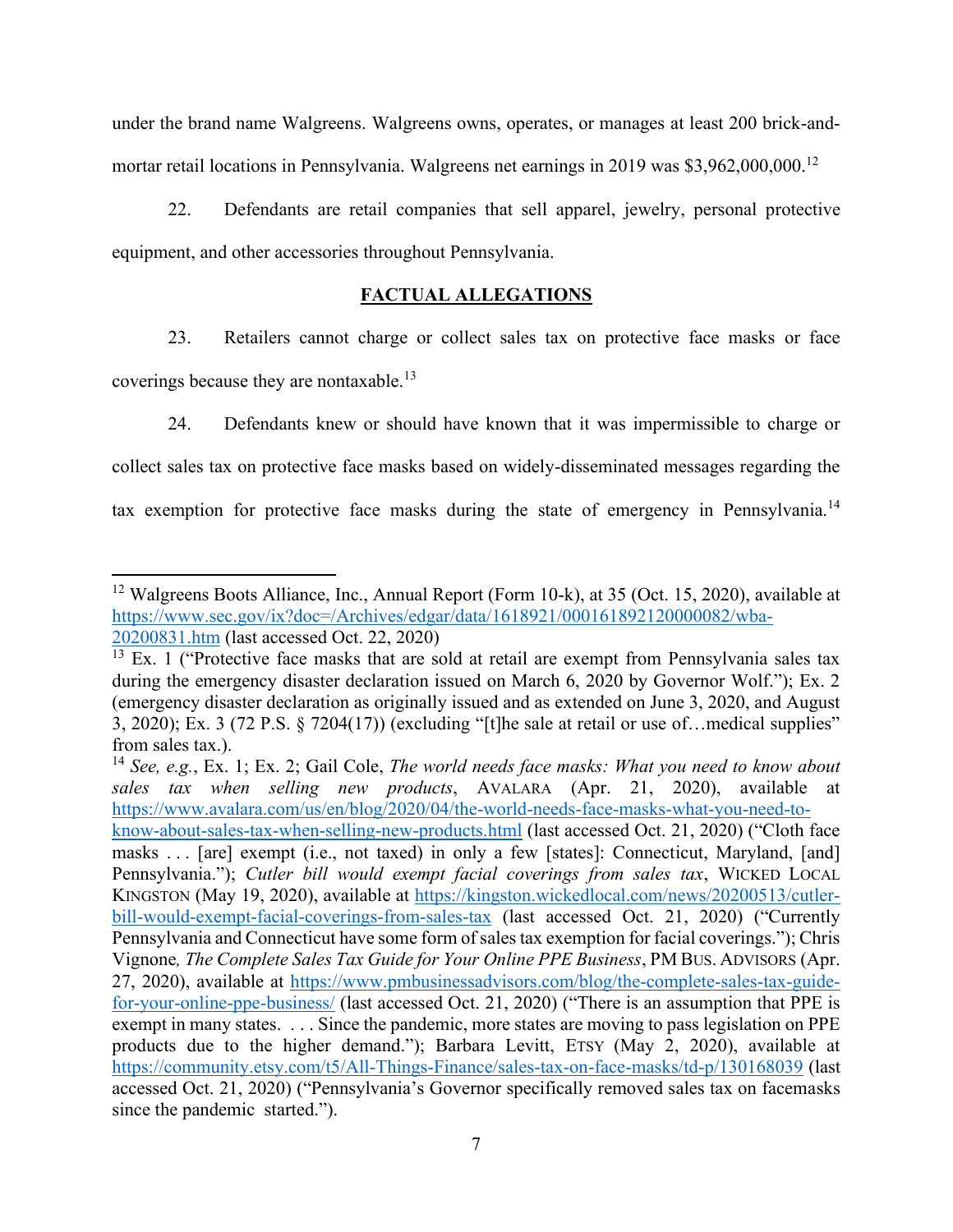under the brand name Walgreens. Walgreens owns, operates, or manages at least 200 brick-andmortar retail locations in Pennsylvania. Walgreens net earnings in 2019 was \$3,962,000,000.<sup>12</sup>

22. Defendants are retail companies that sell apparel, jewelry, personal protective equipment, and other accessories throughout Pennsylvania.

# **FACTUAL ALLEGATIONS**

23. Retailers cannot charge or collect sales tax on protective face masks or face coverings because they are nontaxable.<sup>13</sup>

24. Defendants knew or should have known that it was impermissible to charge or collect sales tax on protective face masks based on widely-disseminated messages regarding the tax exemption for protective face masks during the state of emergency in Pennsylvania.<sup>14</sup>

<sup>&</sup>lt;sup>12</sup> Walgreens Boots Alliance, Inc., Annual Report (Form 10-k), at 35 (Oct. 15, 2020), available at https://www.sec.gov/ix?doc=/Archives/edgar/data/1618921/000161892120000082/wba-20200831.htm (last accessed Oct. 22, 2020)

 $\frac{13}{13}$  Ex. 1 ("Protective face masks that are sold at retail are exempt from Pennsylvania sales tax during the emergency disaster declaration issued on March 6, 2020 by Governor Wolf. $\cdot$ ); Ex. 2 (emergency disaster declaration as originally issued and as extended on June 3, 2020, and August 3, 2020); Ex. 3 (72 P.S.  $\S$  7204(17)) (excluding "[t]he sale at retail or use of... medical supplies" from sales tax.).

<sup>14</sup> *See, e.g.*, Ex. 1; Ex. 2; Gail Cole, *The world needs face masks: What you need to know about sales tax when selling new products*, AVALARA (Apr. 21, 2020), available at https://www.avalara.com/us/en/blog/2020/04/the-world-needs-face-masks-what-you-need-toknow-about-sales-tax-when-selling-new-products.html (last accessed Oct. 21, 2020) ("Cloth face masks . . . [are] exempt (i.e., not taxed) in only a few [states]: Connecticut, Maryland, [and] Pennsylvania."); *Cutler bill would exempt facial coverings from sales tax*, WICKED LOCAL KINGSTON (May 19, 2020), available at https://kingston.wickedlocal.com/news/20200513/cutlerbill-would-exempt-facial-coverings-from-sales-tax (last accessed Oct. 21, 2020) ("Currently Pennsylvania and Connecticut have some form of sales tax exemption for facial coverings."); Chris Vignone*, The Complete Sales Tax Guide for Your Online PPE Business*, PM BUS. ADVISORS (Apr. 27, 2020), available at https://www.pmbusinessadvisors.com/blog/the-complete-sales-tax-guidefor-your-online-ppe-business/ (last accessed Oct. 21, 2020) ("There is an assumption that PPE is exempt in many states. . . . Since the pandemic, more states are moving to pass legislation on PPE products due to the higher demand."); Barbara Levitt, ETSY (May 2, 2020), available at https://community.etsy.com/t5/All-Things-Finance/sales-tax-on-face-masks/td-p/130168039 (last accessed Oct. 21, 2020) ("Pennsylvania's Governor specifically removed sales tax on facemasks since the pandemic started.").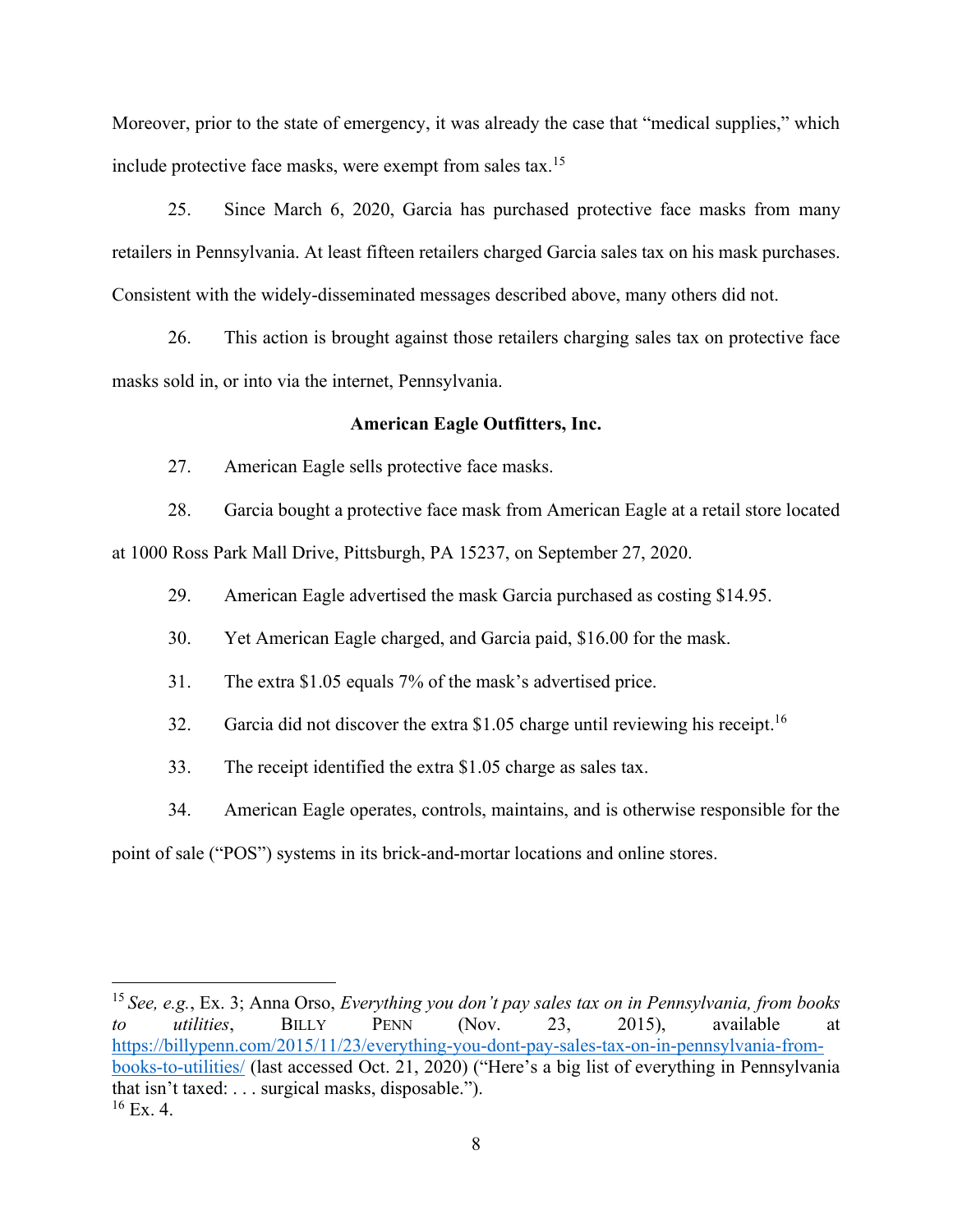Moreover, prior to the state of emergency, it was already the case that "medical supplies," which include protective face masks, were exempt from sales tax.<sup>15</sup>

25. Since March 6, 2020, Garcia has purchased protective face masks from many retailers in Pennsylvania. At least fifteen retailers charged Garcia sales tax on his mask purchases. Consistent with the widely-disseminated messages described above, many others did not.

26. This action is brought against those retailers charging sales tax on protective face masks sold in, or into via the internet, Pennsylvania.

## **American Eagle Outfitters, Inc.**

27. American Eagle sells protective face masks.

28. Garcia bought a protective face mask from American Eagle at a retail store located at 1000 Ross Park Mall Drive, Pittsburgh, PA 15237, on September 27, 2020.

29. American Eagle advertised the mask Garcia purchased as costing \$14.95.

30. Yet American Eagle charged, and Garcia paid, \$16.00 for the mask.

31. The extra  $$1.05$  equals 7% of the mask's advertised price.

32. Garcia did not discover the extra \$1.05 charge until reviewing his receipt.<sup>16</sup>

33. The receipt identified the extra \$1.05 charge as sales tax.

34. American Eagle operates, controls, maintains, and is otherwise responsible for the

point of sale ("POS") systems in its brick-and-mortar locations and online stores.

<sup>&</sup>lt;sup>15</sup> *See, e.g., Ex. 3; Anna Orso, <i>Everything you don't pay sales tax on in Pennsylvania, from books to utilities*, BILLY PENN (Nov. 23, 2015), available at https://billypenn.com/2015/11/23/everything-you-dont-pay-sales-tax-on-in-pennsylvania-frombooks-to-utilities/ (last accessed Oct. 21, 2020) ("Here's a big list of everything in Pennsylvania that isn't taxed:  $\dots$  surgical masks, disposable.").  $16$  Ex. 4.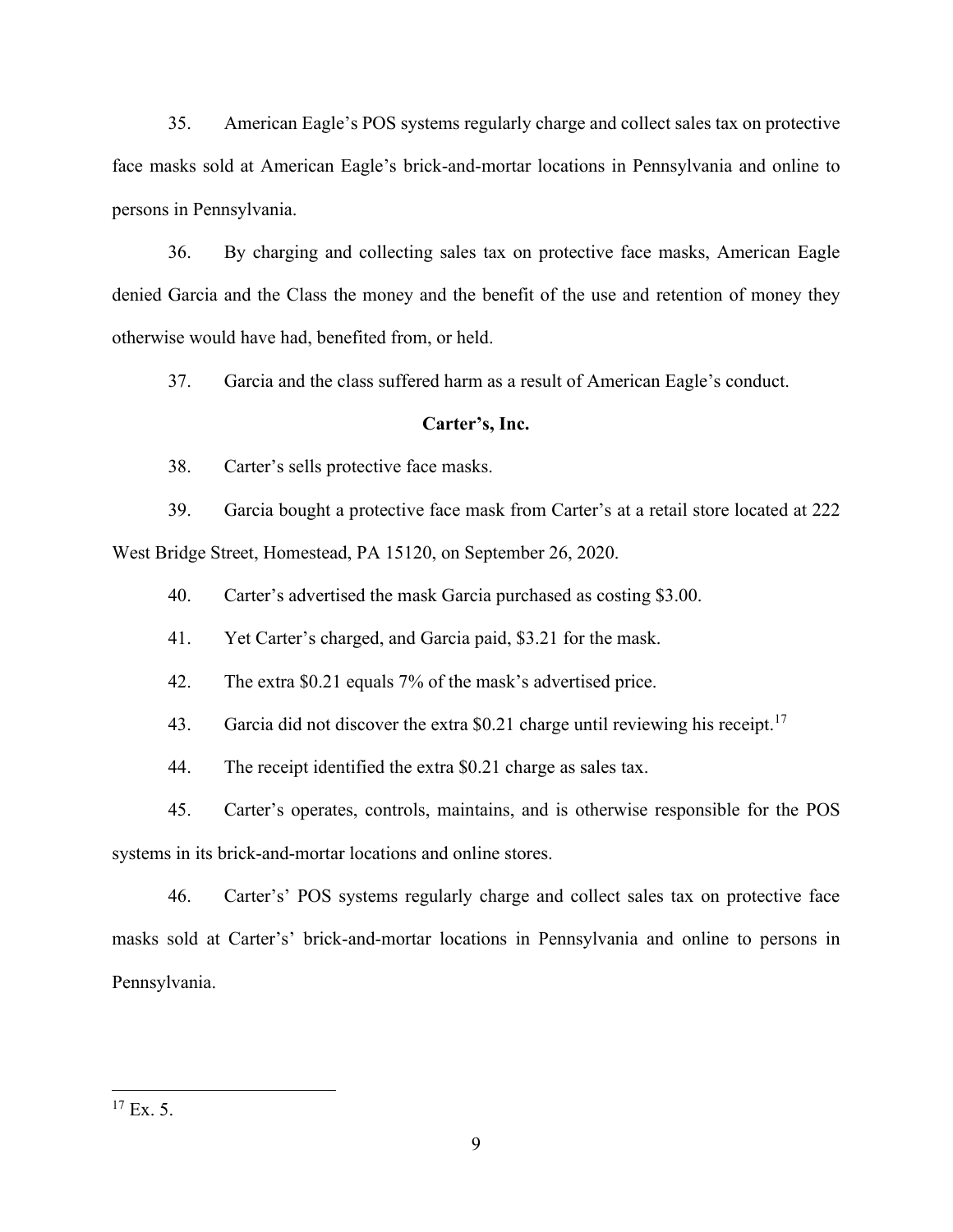35. American Eagle's POS systems regularly charge and collect sales tax on protective face masks sold at American Eagle's brick-and-mortar locations in Pennsylvania and online to persons in Pennsylvania.

36. By charging and collecting sales tax on protective face masks, American Eagle denied Garcia and the Class the money and the benefit of the use and retention of money they otherwise would have had, benefited from, or held.

37. Garcia and the class suffered harm as a result of American Eagle's conduct.

#### Carter's, Inc.

38. Carter's sells protective face masks.

39. Garcia bought a protective face mask from Carter's at a retail store located at 222 West Bridge Street, Homestead, PA 15120, on September 26, 2020.

40. Carter's advertised the mask Garcia purchased as costing  $$3.00$ .

41. Yet Carter's charged, and Garcia paid, \$3.21 for the mask.

42. The extra \$0.21 equals 7% of the mask's advertised price.

43. Garcia did not discover the extra \$0.21 charge until reviewing his receipt.<sup>17</sup>

44. The receipt identified the extra \$0.21 charge as sales tax.

45. Carter's operates, controls, maintains, and is otherwise responsible for the POS

systems in its brick-and-mortar locations and online stores.

46. Carter's' POS systems regularly charge and collect sales tax on protective face masks sold at Carter's' brick-and-mortar locations in Pennsylvania and online to persons in Pennsylvania.

 $17$  Ex. 5.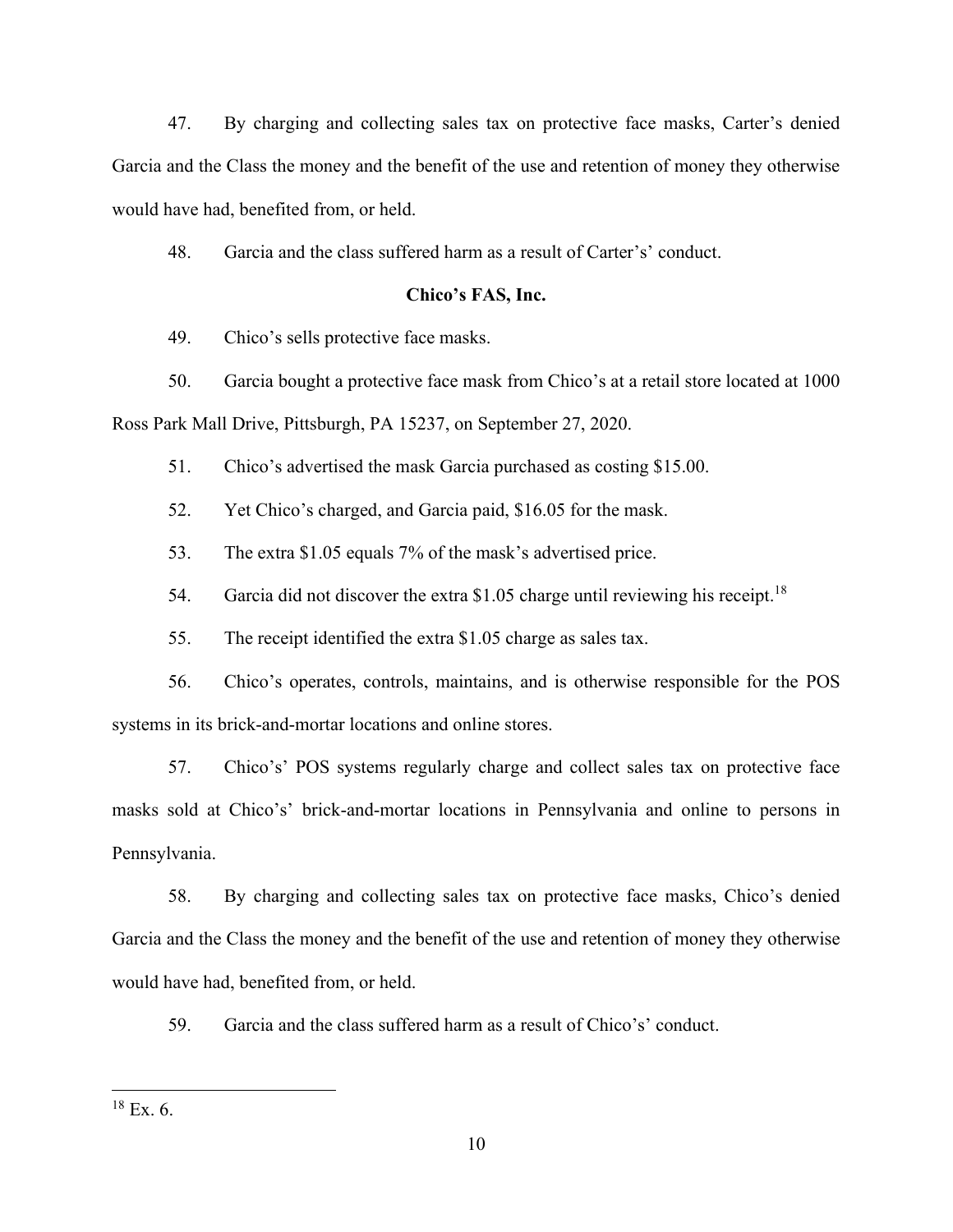47. By charging and collecting sales tax on protective face masks, Carter's denied Garcia and the Class the money and the benefit of the use and retention of money they otherwise would have had, benefited from, or held.

48. Garcia and the class suffered harm as a result of Carter's' conduct.

### Chico's FAS, Inc.

49. Chico's sells protective face masks.

50. Garcia bought a protective face mask from Chico's at a retail store located at 1000

Ross Park Mall Drive, Pittsburgh, PA 15237, on September 27, 2020.

51. Chico's advertised the mask Garcia purchased as costing \$15.00.

52. Yet Chico's charged, and Garcia paid, \$16.05 for the mask.

53. The extra  $$1.05$  equals 7% of the mask's advertised price.

54. Garcia did not discover the extra \$1.05 charge until reviewing his receipt.<sup>18</sup>

55. The receipt identified the extra \$1.05 charge as sales tax.

56. Chico's operates, controls, maintains, and is otherwise responsible for the POS systems in its brick-and-mortar locations and online stores.

57. Chico's' POS systems regularly charge and collect sales tax on protective face masks sold at Chico's' brick-and-mortar locations in Pennsylvania and online to persons in Pennsylvania.

58. By charging and collecting sales tax on protective face masks, Chico's denied Garcia and the Class the money and the benefit of the use and retention of money they otherwise would have had, benefited from, or held.

59. Garcia and the class suffered harm as a result of Chico's' conduct.

 $18$  Ex. 6.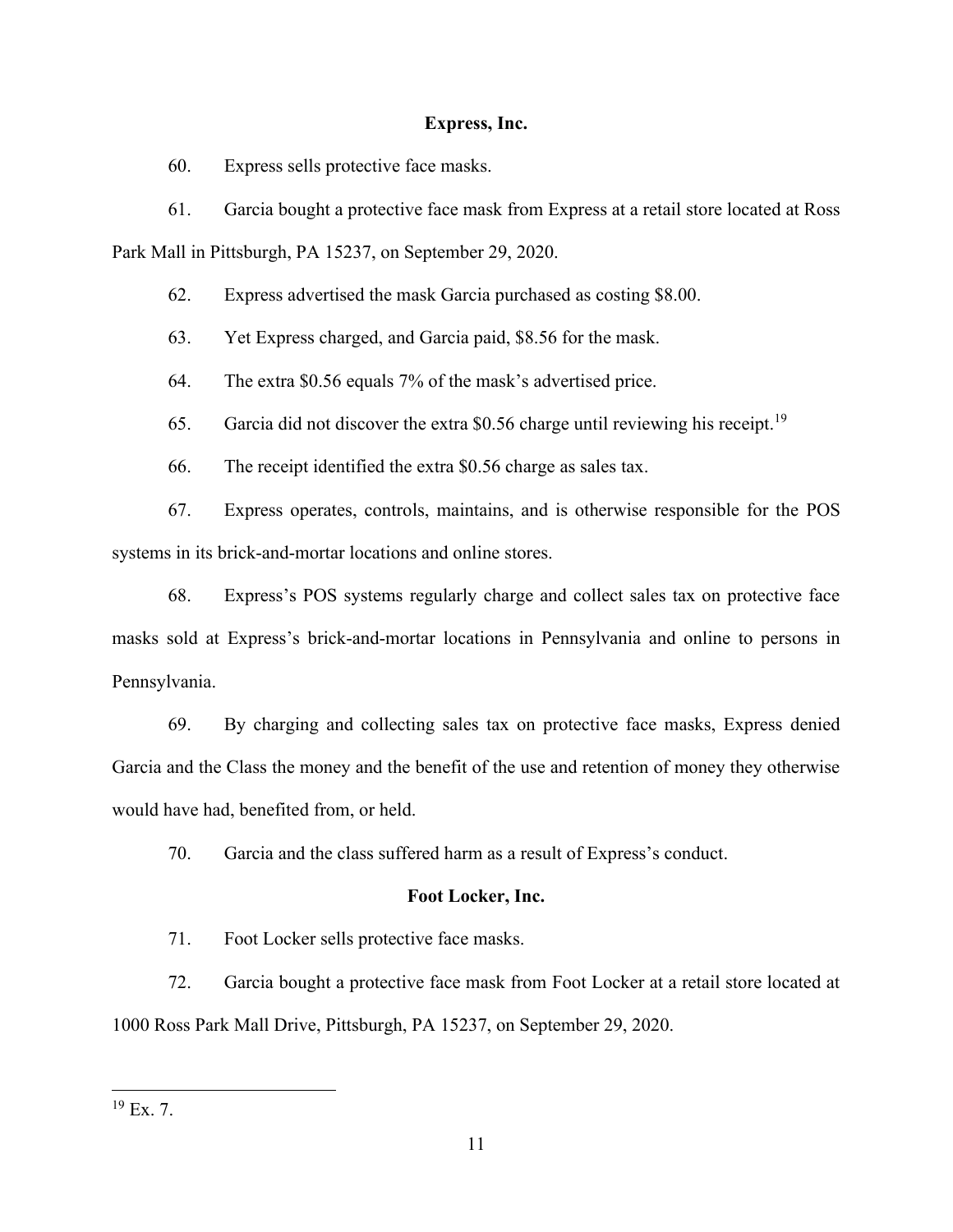## **Express, Inc.**

60. Express sells protective face masks.

61. Garcia bought a protective face mask from Express at a retail store located at Ross

Park Mall in Pittsburgh, PA 15237, on September 29, 2020.

62. Express advertised the mask Garcia purchased as costing \$8.00.

63. Yet Express charged, and Garcia paid, \$8.56 for the mask.

64. The extra  $$0.56$  equals  $7\%$  of the mask's advertised price.

65. Garcia did not discover the extra \$0.56 charge until reviewing his receipt.<sup>19</sup>

66. The receipt identified the extra \$0.56 charge as sales tax.

67. Express operates, controls, maintains, and is otherwise responsible for the POS systems in its brick-and-mortar locations and online stores.

68. Express's POS systems regularly charge and collect sales tax on protective face masks sold at Express's brick-and-mortar locations in Pennsylvania and online to persons in Pennsylvania.

69. By charging and collecting sales tax on protective face masks, Express denied Garcia and the Class the money and the benefit of the use and retention of money they otherwise would have had, benefited from, or held.

70. Garcia and the class suffered harm as a result of Express's conduct.

## **Foot Locker, Inc.**

71. Foot Locker sells protective face masks.

72. Garcia bought a protective face mask from Foot Locker at a retail store located at 1000 Ross Park Mall Drive, Pittsburgh, PA 15237, on September 29, 2020.

 $19$  Ex. 7.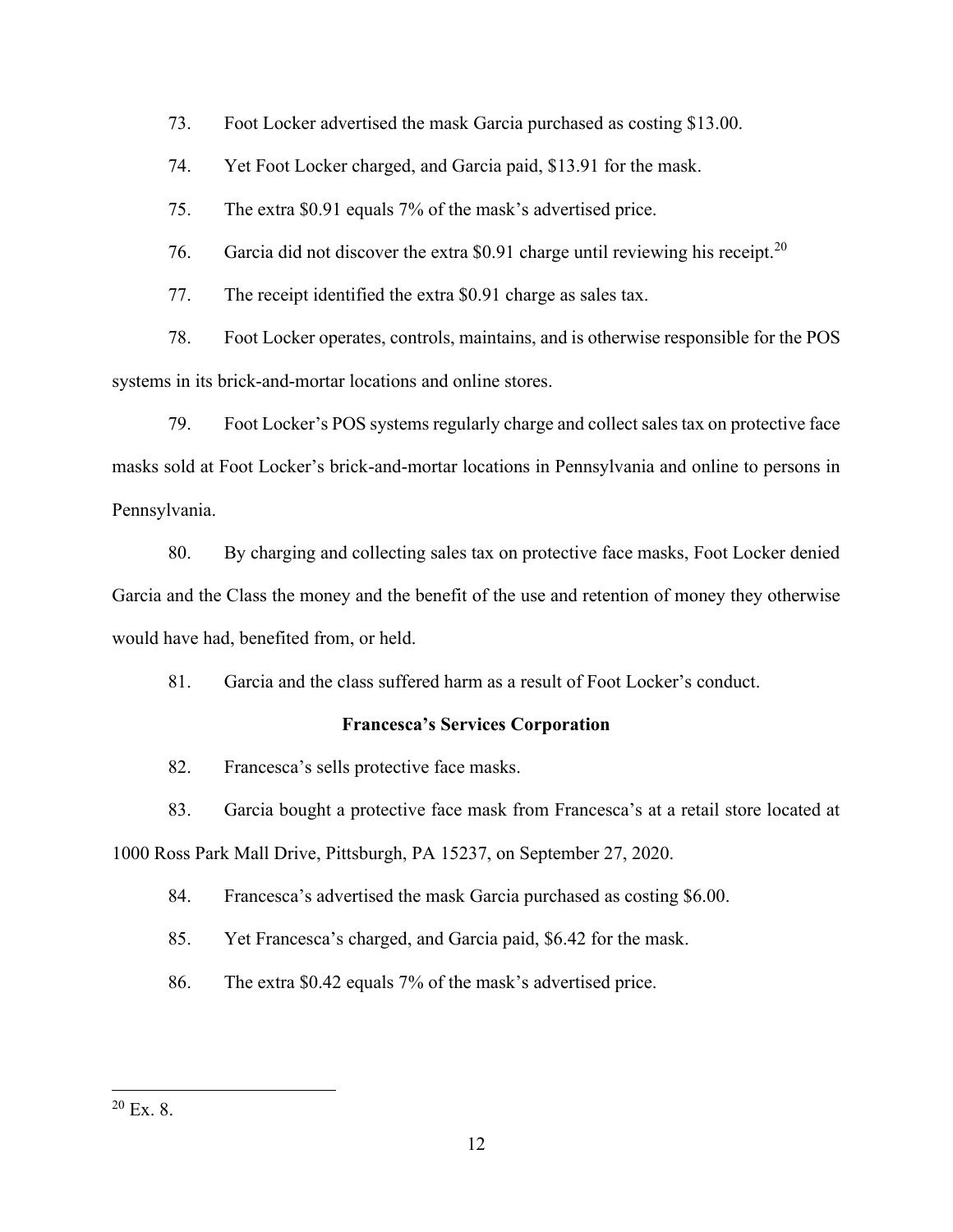73. Foot Locker advertised the mask Garcia purchased as costing \$13.00.

74. Yet Foot Locker charged, and Garcia paid, \$13.91 for the mask.

75. The extra  $$0.91$  equals 7% of the mask's advertised price.

76. Garcia did not discover the extra \$0.91 charge until reviewing his receipt.<sup>20</sup>

77. The receipt identified the extra \$0.91 charge as sales tax.

78. Foot Locker operates, controls, maintains, and is otherwise responsible for the POS systems in its brick-and-mortar locations and online stores.

79. Foot Locker's POS systems regularly charge and collect sales tax on protective face masks sold at Foot Locker's brick-and-mortar locations in Pennsylvania and online to persons in Pennsylvania.

80. By charging and collecting sales tax on protective face masks, Foot Locker denied Garcia and the Class the money and the benefit of the use and retention of money they otherwise would have had, benefited from, or held.

 $81.$  Garcia and the class suffered harm as a result of Foot Locker's conduct.

## **Francesca's Services Corporation**

82. Francesca's sells protective face masks.

83. Garcia bought a protective face mask from Francesca's at a retail store located at

1000 Ross Park Mall Drive, Pittsburgh, PA 15237, on September 27, 2020.

84. Francesca's advertised the mask Garcia purchased as costing \$6.00.

85. Yet Francesca's charged, and Garcia paid, \$6.42 for the mask.

86. The extra  $$0.42$  equals 7% of the mask's advertised price.

 $20$  Ex. 8.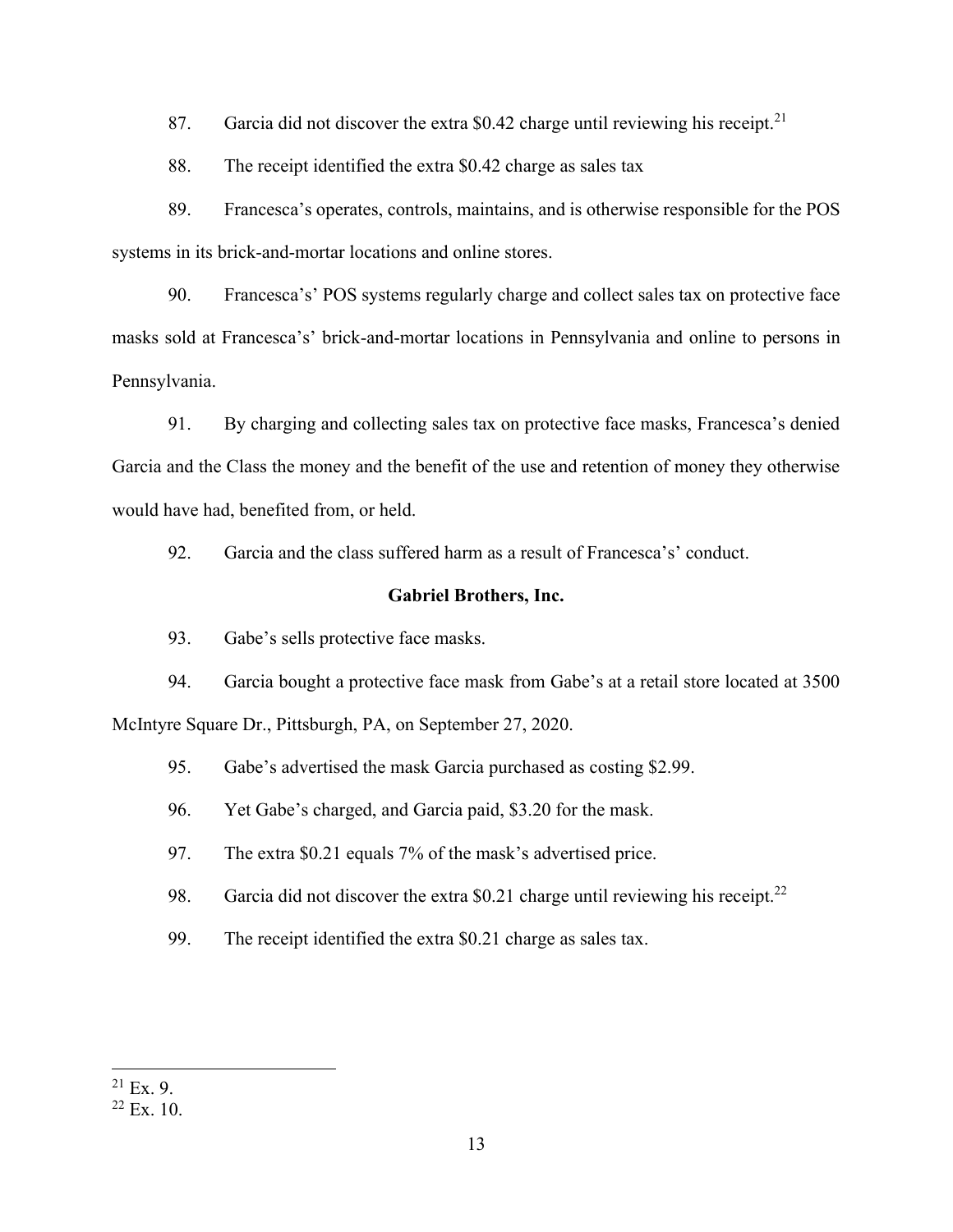87. Garcia did not discover the extra \$0.42 charge until reviewing his receipt.<sup>21</sup>

88. The receipt identified the extra \$0.42 charge as sales tax

89. Francesca's operates, controls, maintains, and is otherwise responsible for the POS systems in its brick-and-mortar locations and online stores.

90. Francesca's' POS systems regularly charge and collect sales tax on protective face masks sold at Francesca's' brick-and-mortar locations in Pennsylvania and online to persons in Pennsylvania.

91. By charging and collecting sales tax on protective face masks, Francesca's denied Garcia and the Class the money and the benefit of the use and retention of money they otherwise would have had, benefited from, or held.

92. Garcia and the class suffered harm as a result of Francesca's' conduct.

## **Gabriel Brothers, Inc.**

93. Gabe's sells protective face masks.

94. Garcia bought a protective face mask from Gabe's at a retail store located at 3500 McIntyre Square Dr., Pittsburgh, PA, on September 27, 2020.

95. Gabe's advertised the mask Garcia purchased as costing \$2.99.

96. Yet Gabe's charged, and Garcia paid, \$3.20 for the mask.

97. The extra  $$0.21$  equals 7% of the mask's advertised price.

98. Garcia did not discover the extra  $$0.21$  charge until reviewing his receipt.<sup>22</sup>

99. The receipt identified the extra \$0.21 charge as sales tax.

 $21$  Ex. 9.

 $22$  Ex. 10.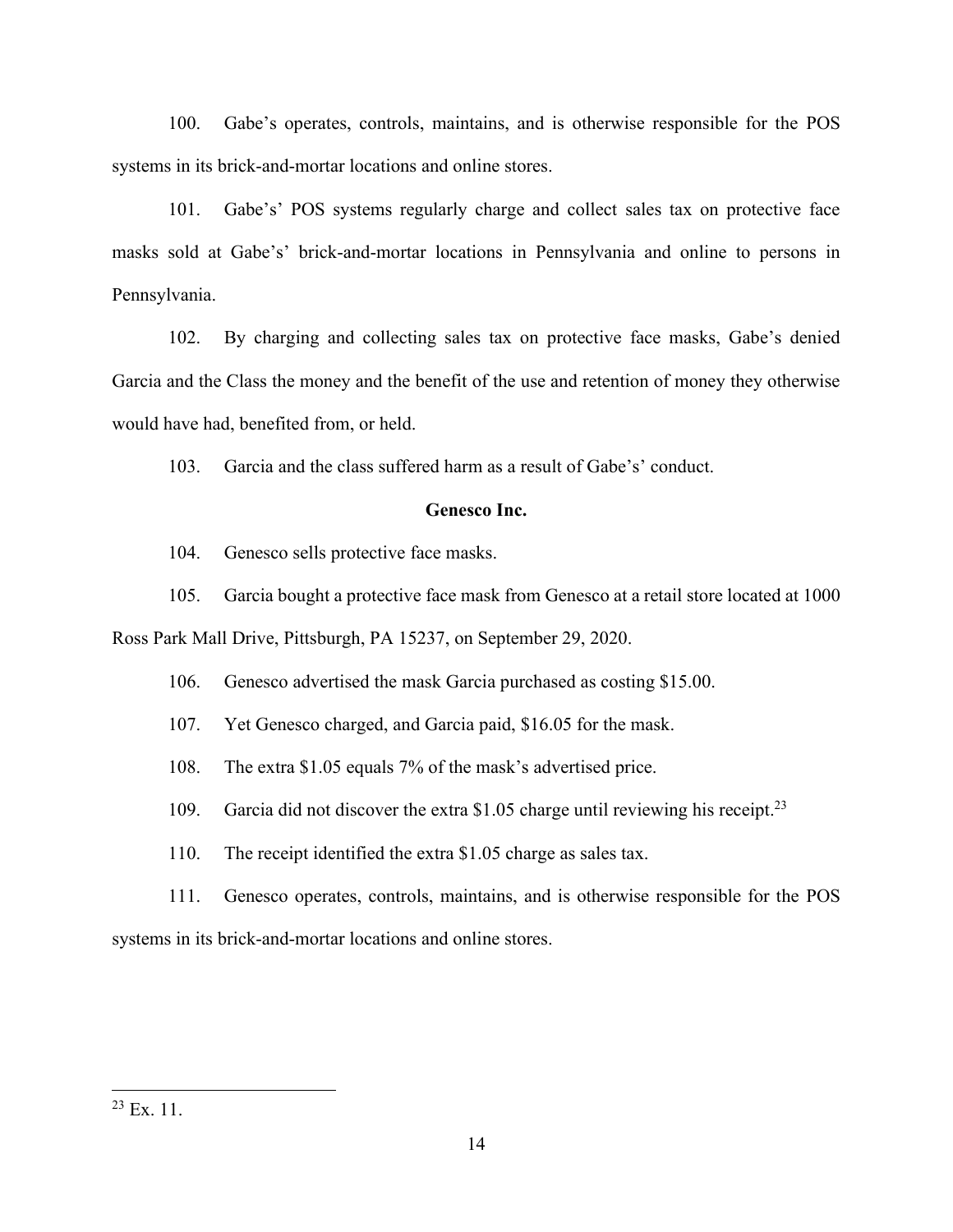100. Gabe's operates, controls, maintains, and is otherwise responsible for the POS systems in its brick-and-mortar locations and online stores.

101. Gabe's' POS systems regularly charge and collect sales tax on protective face masks sold at Gabe's' brick-and-mortar locations in Pennsylvania and online to persons in Pennsylvania.

102. By charging and collecting sales tax on protective face masks, Gabe's denied Garcia and the Class the money and the benefit of the use and retention of money they otherwise would have had, benefited from, or held.

103. Garcia and the class suffered harm as a result of Gabe's' conduct.

## **Genesco Inc.**

104. Genesco sells protective face masks.

105. Garcia bought a protective face mask from Genesco at a retail store located at 1000

Ross Park Mall Drive, Pittsburgh, PA 15237, on September 29, 2020.

106. Genesco advertised the mask Garcia purchased as costing \$15.00.

107. Yet Genesco charged, and Garcia paid, \$16.05 for the mask.

108. The extra \$1.05 equals 7% of the mask's advertised price.

109. Garcia did not discover the extra \$1.05 charge until reviewing his receipt. 23

110. The receipt identified the extra \$1.05 charge as sales tax.

111. Genesco operates, controls, maintains, and is otherwise responsible for the POS systems in its brick-and-mortar locations and online stores.

 $23$  Ex. 11.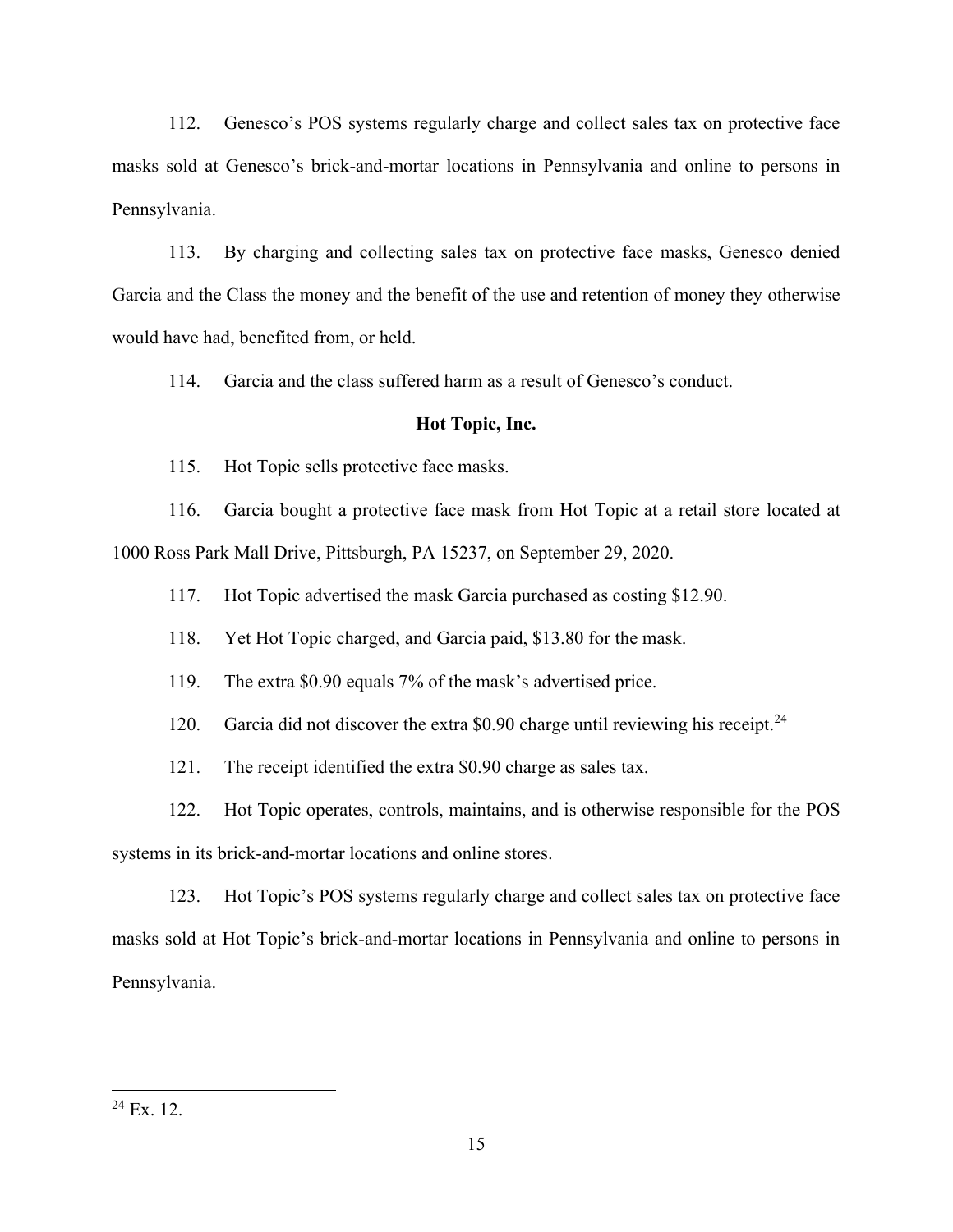112. Genesco's POS systems regularly charge and collect sales tax on protective face masks sold at Genesco's brick-and-mortar locations in Pennsylvania and online to persons in Pennsylvania.

113. By charging and collecting sales tax on protective face masks, Genesco denied Garcia and the Class the money and the benefit of the use and retention of money they otherwise would have had, benefited from, or held.

114. Garcia and the class suffered harm as a result of Genesco's conduct.

### **Hot Topic, Inc.**

115. Hot Topic sells protective face masks.

116. Garcia bought a protective face mask from Hot Topic at a retail store located at 1000 Ross Park Mall Drive, Pittsburgh, PA 15237, on September 29, 2020.

117. Hot Topic advertised the mask Garcia purchased as costing \$12.90.

118. Yet Hot Topic charged, and Garcia paid, \$13.80 for the mask.

119. The extra  $$0.90$  equals 7% of the mask's advertised price.

120. Garcia did not discover the extra \$0.90 charge until reviewing his receipt.<sup>24</sup>

121. The receipt identified the extra \$0.90 charge as sales tax.

122. Hot Topic operates, controls, maintains, and is otherwise responsible for the POS

systems in its brick-and-mortar locations and online stores.

123. Hot Topic's POS systems regularly charge and collect sales tax on protective face masks sold at Hot Topic's brick-and-mortar locations in Pennsylvania and online to persons in Pennsylvania.

 $24$  Ex. 12.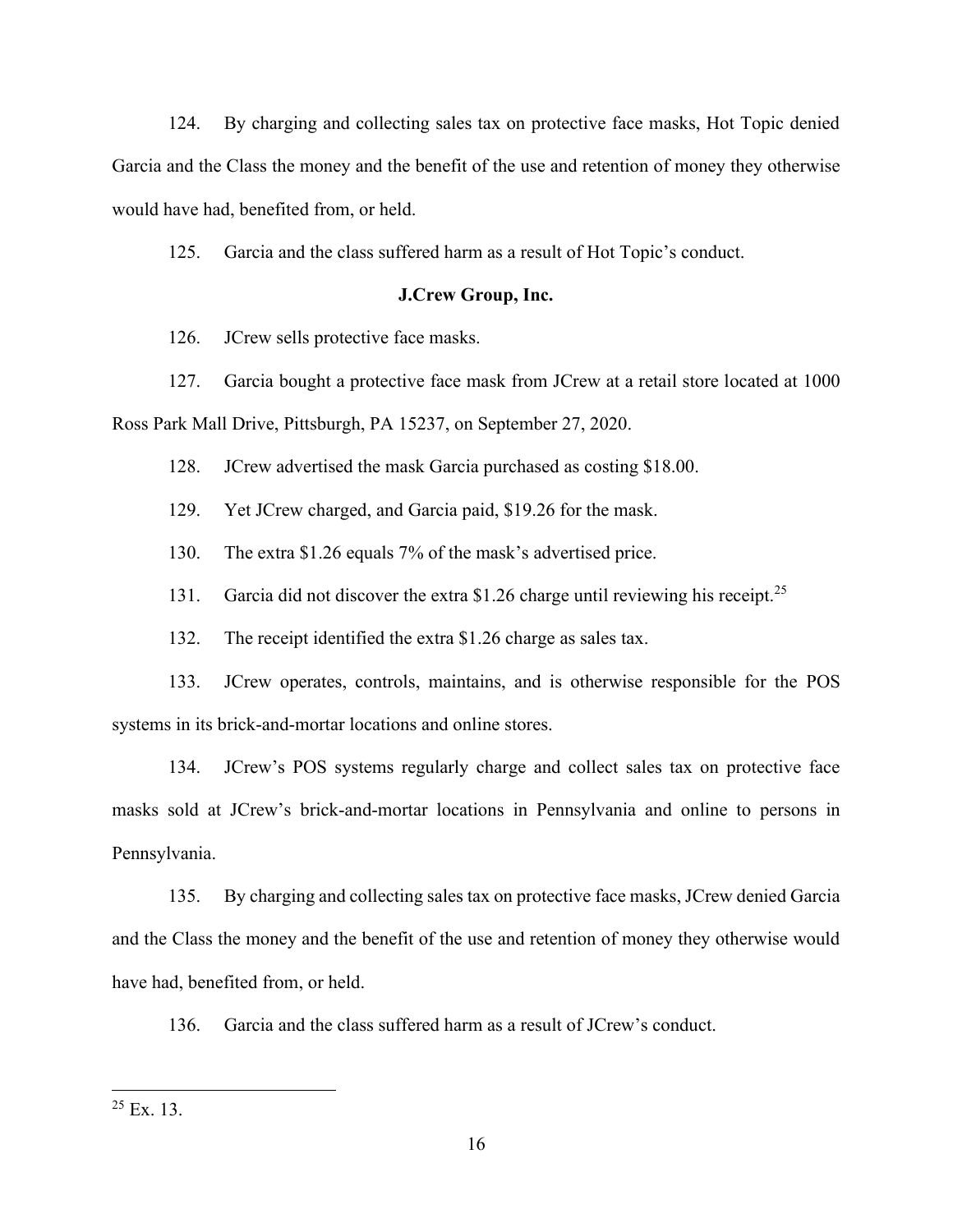124. By charging and collecting sales tax on protective face masks, Hot Topic denied Garcia and the Class the money and the benefit of the use and retention of money they otherwise would have had, benefited from, or held.

125. Garcia and the class suffered harm as a result of Hot Topic's conduct.

### **J.Crew Group, Inc.**

126. JCrew sells protective face masks.

127. Garcia bought a protective face mask from JCrew at a retail store located at 1000

Ross Park Mall Drive, Pittsburgh, PA 15237, on September 27, 2020.

128. JCrew advertised the mask Garcia purchased as costing \$18.00.

129. Yet JCrew charged, and Garcia paid, \$19.26 for the mask.

130. The extra  $$1.26$  equals 7% of the mask's advertised price.

131. Garcia did not discover the extra \$1.26 charge until reviewing his receipt.<sup>25</sup>

132. The receipt identified the extra \$1.26 charge as sales tax.

133. JCrew operates, controls, maintains, and is otherwise responsible for the POS systems in its brick-and-mortar locations and online stores.

134. JCrew's POS systems regularly charge and collect sales tax on protective face masks sold at JCrew's brick-and-mortar locations in Pennsylvania and online to persons in Pennsylvania.

135. By charging and collecting sales tax on protective face masks, JCrew denied Garcia and the Class the money and the benefit of the use and retention of money they otherwise would have had, benefited from, or held.

136. Garcia and the class suffered harm as a result of JCrew's conduct.

 $25$  Ex. 13.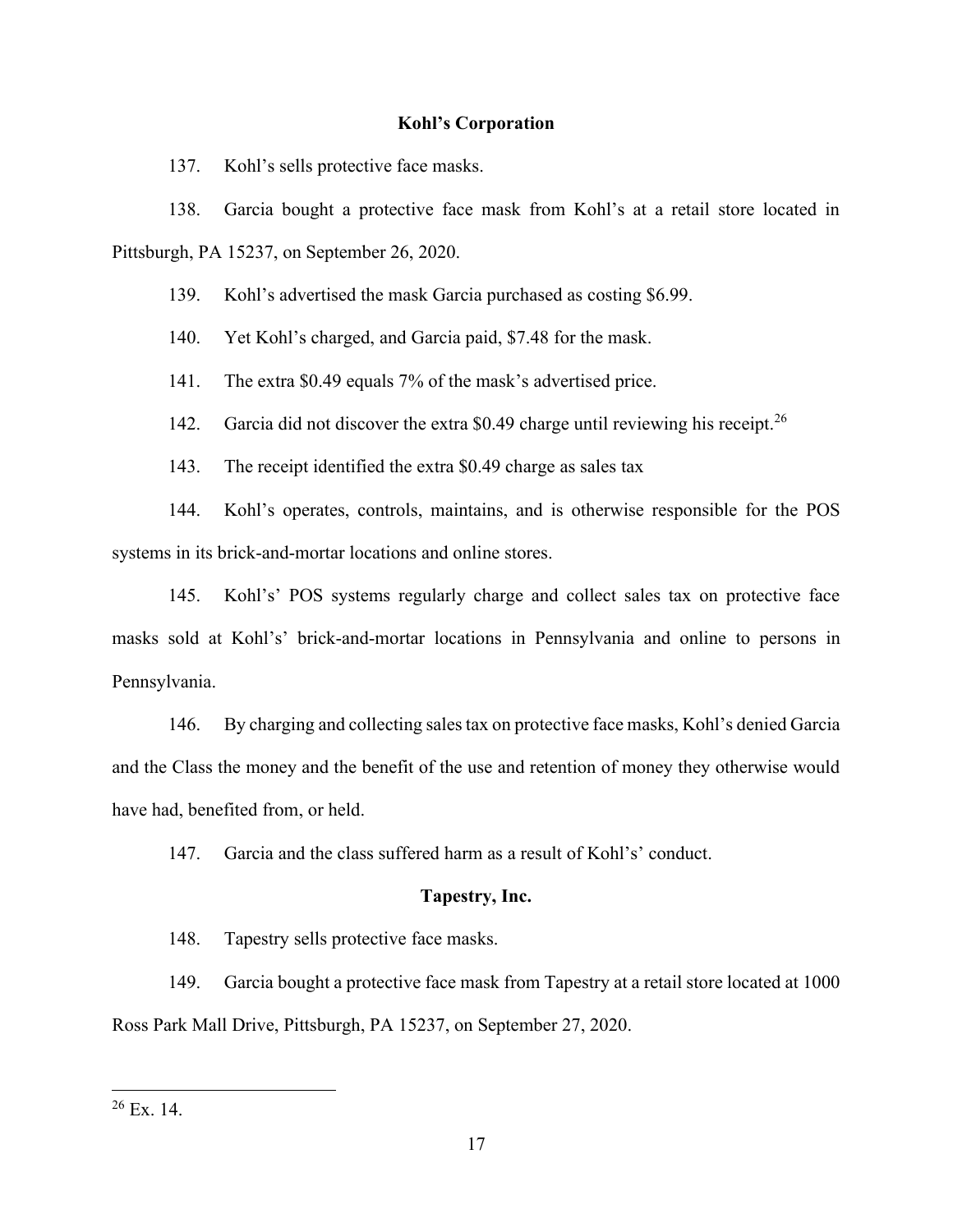## **Kohl's Corporation**

137. Kohl's sells protective face masks.

138. Garcia bought a protective face mask from Kohl's at a retail store located in Pittsburgh, PA 15237, on September 26, 2020.

139. Kohl's advertised the mask Garcia purchased as costing \$6.99.

140. Yet Kohl's charged, and Garcia paid, \$7.48 for the mask.

141. The extra  $$0.49$  equals 7% of the mask's advertised price.

142. Garcia did not discover the extra \$0.49 charge until reviewing his receipt.<sup>26</sup>

143. The receipt identified the extra \$0.49 charge as sales tax

144. Kohl's operates, controls, maintains, and is otherwise responsible for the POS systems in its brick-and-mortar locations and online stores.

145. Kohl's' POS systems regularly charge and collect sales tax on protective face masks sold at Kohl's' brick-and-mortar locations in Pennsylvania and online to persons in Pennsylvania.

146. By charging and collecting sales tax on protective face masks, Kohl's denied Garcia and the Class the money and the benefit of the use and retention of money they otherwise would have had, benefited from, or held.

147. Garcia and the class suffered harm as a result of Kohl's' conduct.

#### **Tapestry, Inc.**

148. Tapestry sells protective face masks.

149. Garcia bought a protective face mask from Tapestry at a retail store located at 1000 Ross Park Mall Drive, Pittsburgh, PA 15237, on September 27, 2020.

 $26$  Ex. 14.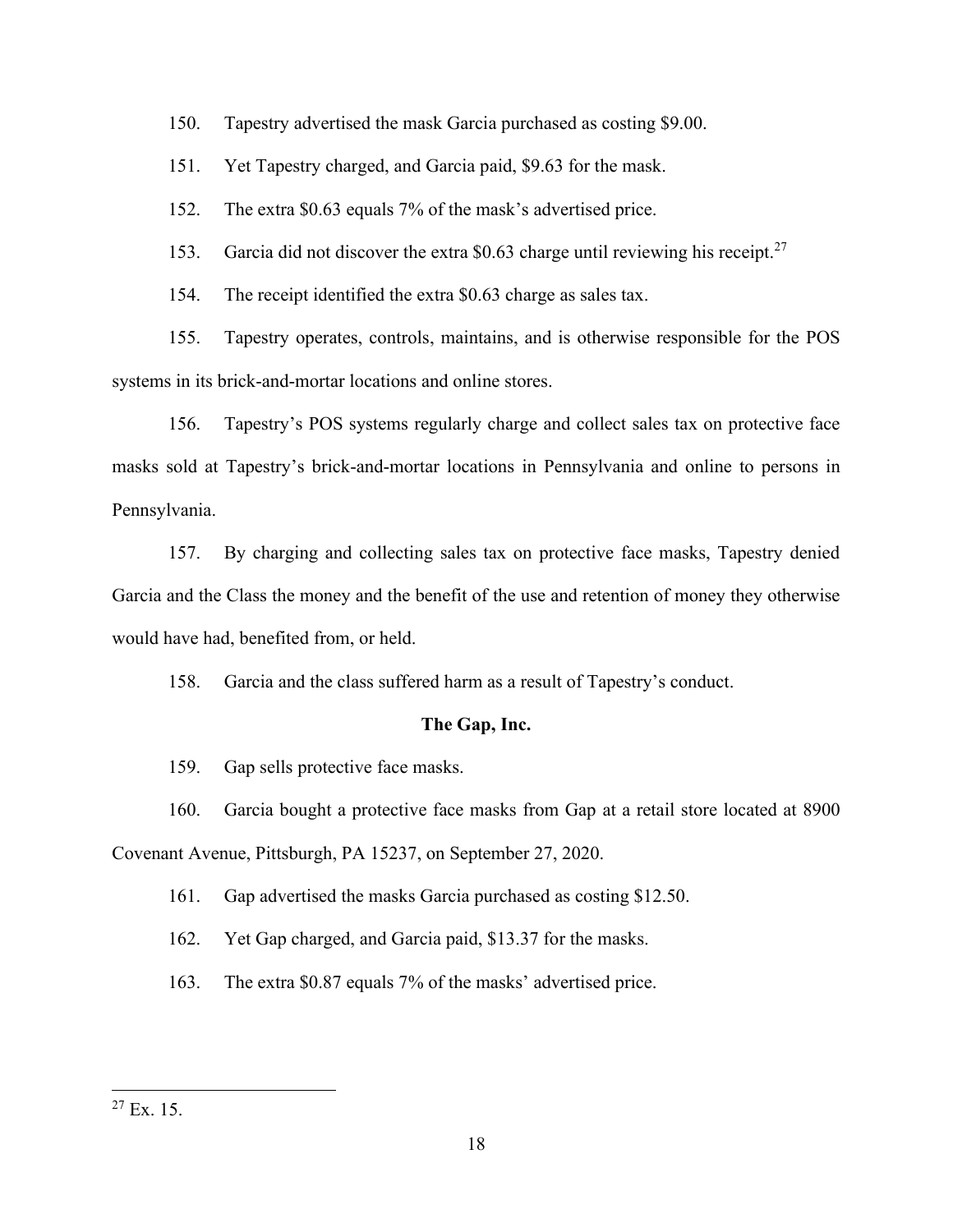150. Tapestry advertised the mask Garcia purchased as costing \$9.00.

151. Yet Tapestry charged, and Garcia paid, \$9.63 for the mask.

152. The extra  $$0.63$  equals 7% of the mask's advertised price.

153. Garcia did not discover the extra \$0.63 charge until reviewing his receipt.<sup>27</sup>

154. The receipt identified the extra \$0.63 charge as sales tax.

155. Tapestry operates, controls, maintains, and is otherwise responsible for the POS systems in its brick-and-mortar locations and online stores.

156. Tapestry's POS systems regularly charge and collect sales tax on protective face masks sold at Tapestry's brick-and-mortar locations in Pennsylvania and online to persons in Pennsylvania.

157. By charging and collecting sales tax on protective face masks, Tapestry denied Garcia and the Class the money and the benefit of the use and retention of money they otherwise would have had, benefited from, or held.

158. Garcia and the class suffered harm as a result of Tapestry's conduct.

## **The Gap, Inc.**

159. Gap sells protective face masks.

160. Garcia bought a protective face masks from Gap at a retail store located at 8900

Covenant Avenue, Pittsburgh, PA 15237, on September 27, 2020.

161. Gap advertised the masks Garcia purchased as costing \$12.50.

162. Yet Gap charged, and Garcia paid, \$13.37 for the masks.

163. The extra \$0.87 equals 7% of the masks' advertised price.

 $27$  Ex. 15.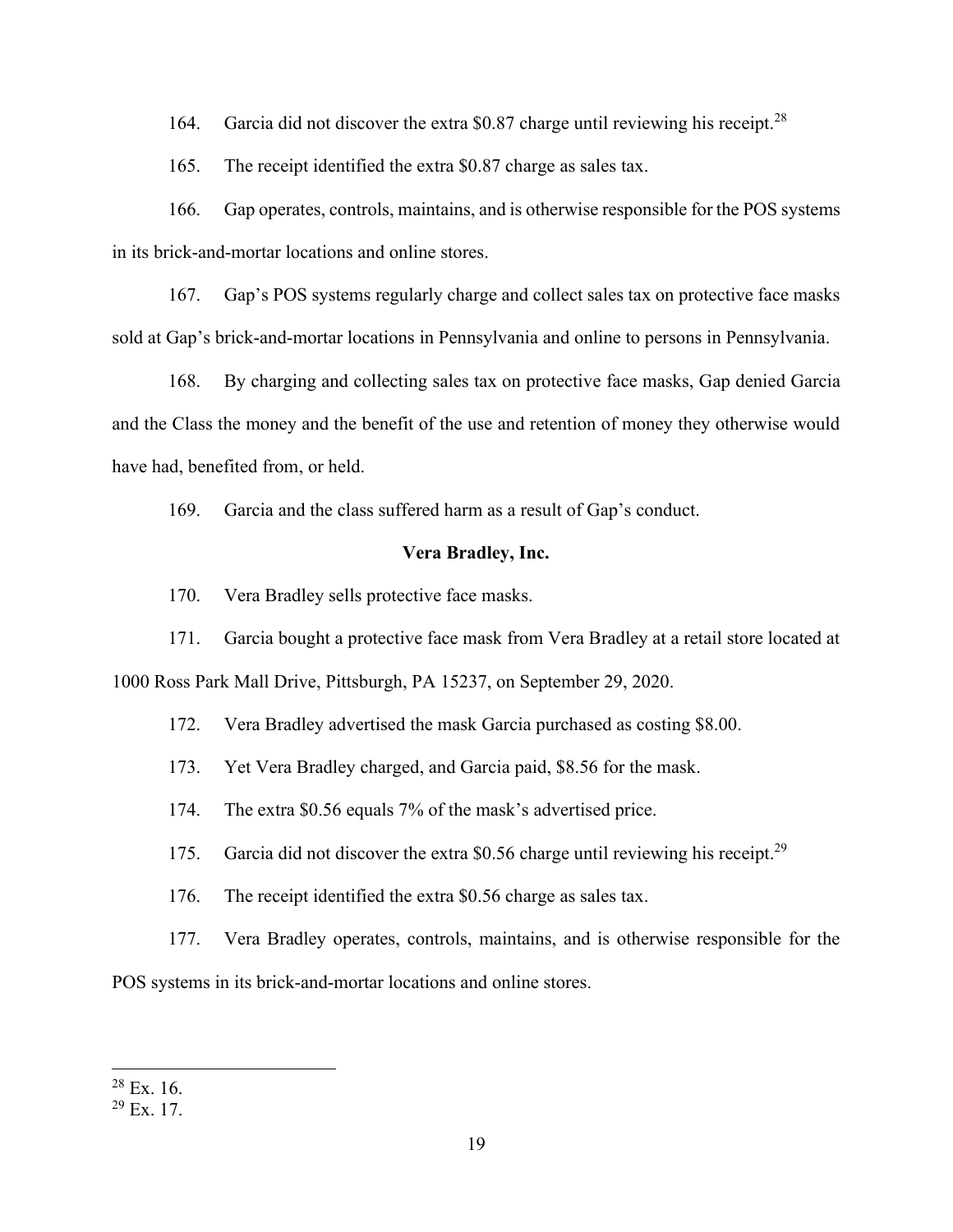164. Garcia did not discover the extra \$0.87 charge until reviewing his receipt.<sup>28</sup>

165. The receipt identified the extra \$0.87 charge as sales tax.

166. Gap operates, controls, maintains, and is otherwise responsible for the POS systems in its brick-and-mortar locations and online stores.

167. Gap's POS systems regularly charge and collect sales tax on protective face masks sold at Gap's brick-and-mortar locations in Pennsylvania and online to persons in Pennsylvania.

168. By charging and collecting sales tax on protective face masks, Gap denied Garcia and the Class the money and the benefit of the use and retention of money they otherwise would have had, benefited from, or held.

169. Garcia and the class suffered harm as a result of Gap's conduct.

## **Vera Bradley, Inc.**

170. Vera Bradley sells protective face masks.

171. Garcia bought a protective face mask from Vera Bradley at a retail store located at 1000 Ross Park Mall Drive, Pittsburgh, PA 15237, on September 29, 2020.

172. Vera Bradley advertised the mask Garcia purchased as costing \$8.00.

173. Yet Vera Bradley charged, and Garcia paid, \$8.56 for the mask.

174. The extra  $$0.56$  equals 7% of the mask's advertised price.

175. Garcia did not discover the extra \$0.56 charge until reviewing his receipt.<sup>29</sup>

176. The receipt identified the extra \$0.56 charge as sales tax.

177. Vera Bradley operates, controls, maintains, and is otherwise responsible for the

POS systems in its brick-and-mortar locations and online stores.

 $28$  Ex. 16.

 $29$  Ex. 17.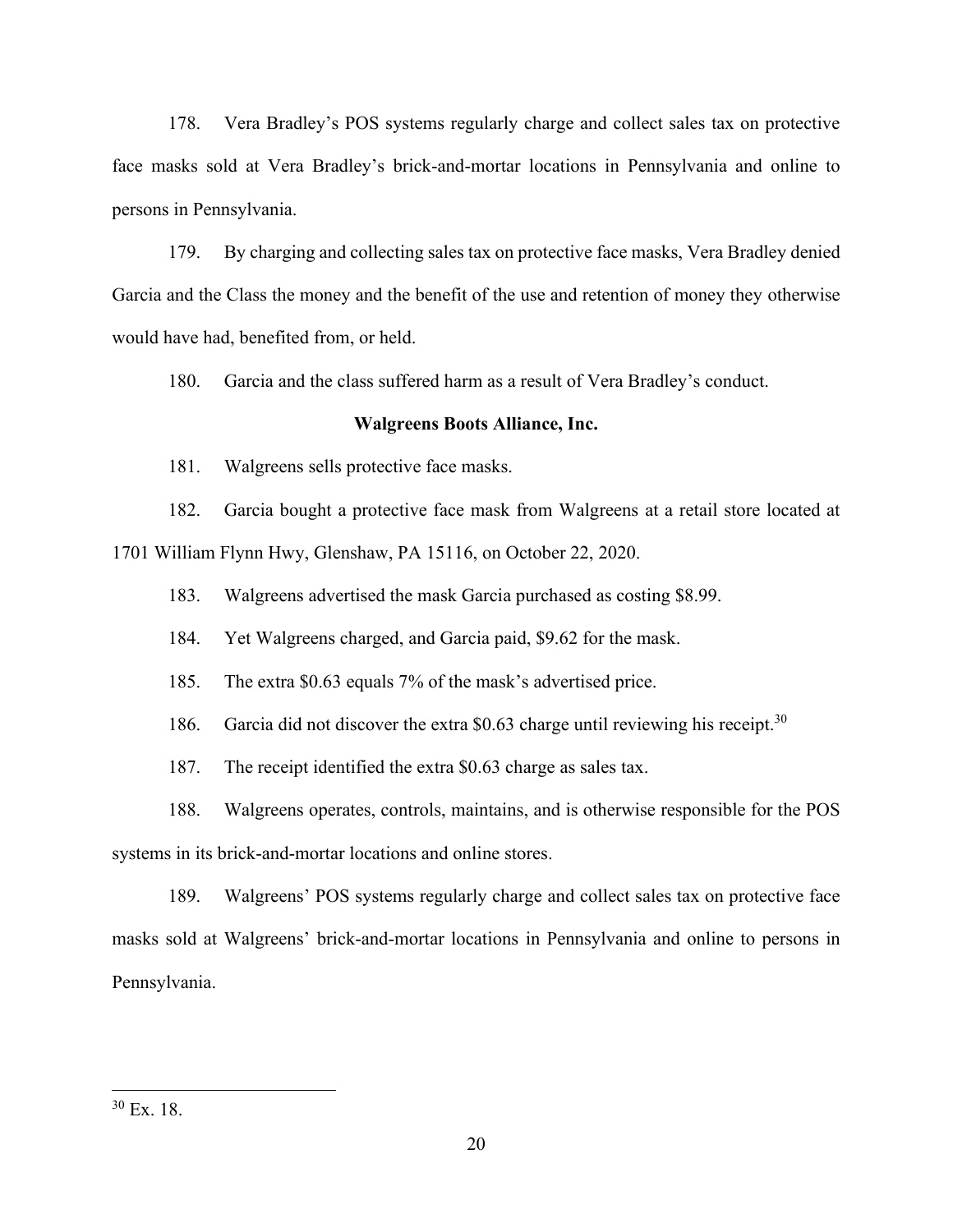178. Vera Bradley's POS systems regularly charge and collect sales tax on protective face masks sold at Vera Bradley's brick-and-mortar locations in Pennsylvania and online to persons in Pennsylvania.

179. By charging and collecting sales tax on protective face masks, Vera Bradley denied Garcia and the Class the money and the benefit of the use and retention of money they otherwise would have had, benefited from, or held.

180. Garcia and the class suffered harm as a result of Vera Bradley's conduct.

### **Walgreens Boots Alliance, Inc.**

181. Walgreens sells protective face masks.

182. Garcia bought a protective face mask from Walgreens at a retail store located at

1701 William Flynn Hwy, Glenshaw, PA 15116, on October 22, 2020.

183. Walgreens advertised the mask Garcia purchased as costing \$8.99.

184. Yet Walgreens charged, and Garcia paid, \$9.62 for the mask.

185. The extra  $$0.63$  equals 7% of the mask's advertised price.

186. Garcia did not discover the extra \$0.63 charge until reviewing his receipt.<sup>30</sup>

187. The receipt identified the extra \$0.63 charge as sales tax.

188. Walgreens operates, controls, maintains, and is otherwise responsible for the POS

systems in its brick-and-mortar locations and online stores.

189. Walgreens' POS systems regularly charge and collect sales tax on protective face masks sold at Walgreens' brick-and-mortar locations in Pennsylvania and online to persons in Pennsylvania.

<sup>30</sup> Ex. 18.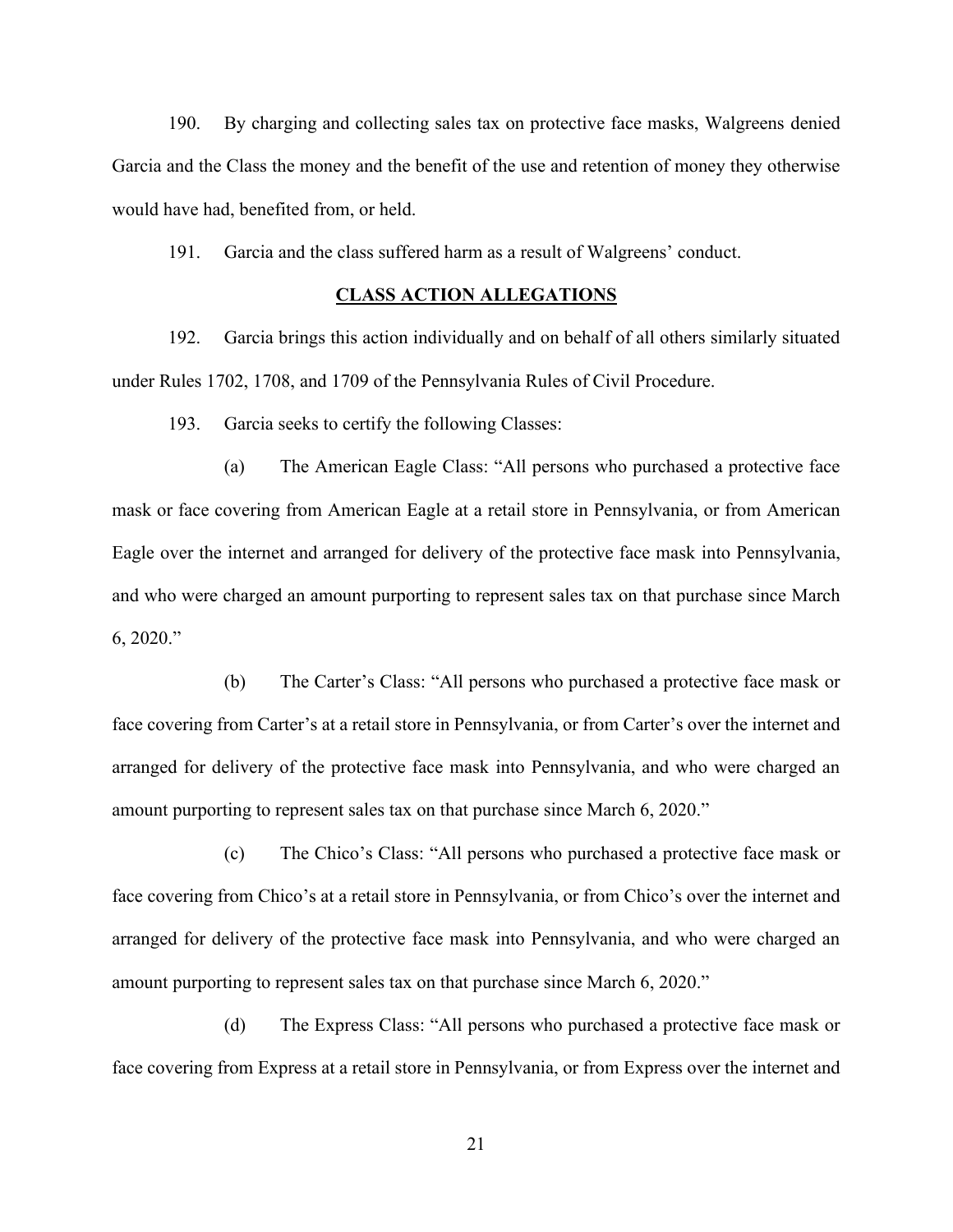190. By charging and collecting sales tax on protective face masks, Walgreens denied Garcia and the Class the money and the benefit of the use and retention of money they otherwise would have had, benefited from, or held.

191. Garcia and the class suffered harm as a result of Walgreens' conduct.

## **CLASS ACTION ALLEGATIONS**

192. Garcia brings this action individually and on behalf of all others similarly situated under Rules 1702, 1708, and 1709 of the Pennsylvania Rules of Civil Procedure.

193. Garcia seeks to certify the following Classes:

(a) The American Eagle Class: "All persons who purchased a protective face mask or face covering from American Eagle at a retail store in Pennsylvania, or from American Eagle over the internet and arranged for delivery of the protective face mask into Pennsylvania, and who were charged an amount purporting to represent sales tax on that purchase since March  $6, 2020$ .

(b) The Carter's Class: "All persons who purchased a protective face mask or face covering from Carter's at a retail store in Pennsylvania, or from Carter's over the internet and arranged for delivery of the protective face mask into Pennsylvania, and who were charged an amount purporting to represent sales tax on that purchase since March 6, 2020."

(c) The Chico's Class: "All persons who purchased a protective face mask or face covering from Chico's at a retail store in Pennsylvania, or from Chico's over the internet and arranged for delivery of the protective face mask into Pennsylvania, and who were charged an amount purporting to represent sales tax on that purchase since March 6, 2020.´

(d) The Express Class: "All persons who purchased a protective face mask or face covering from Express at a retail store in Pennsylvania, or from Express over the internet and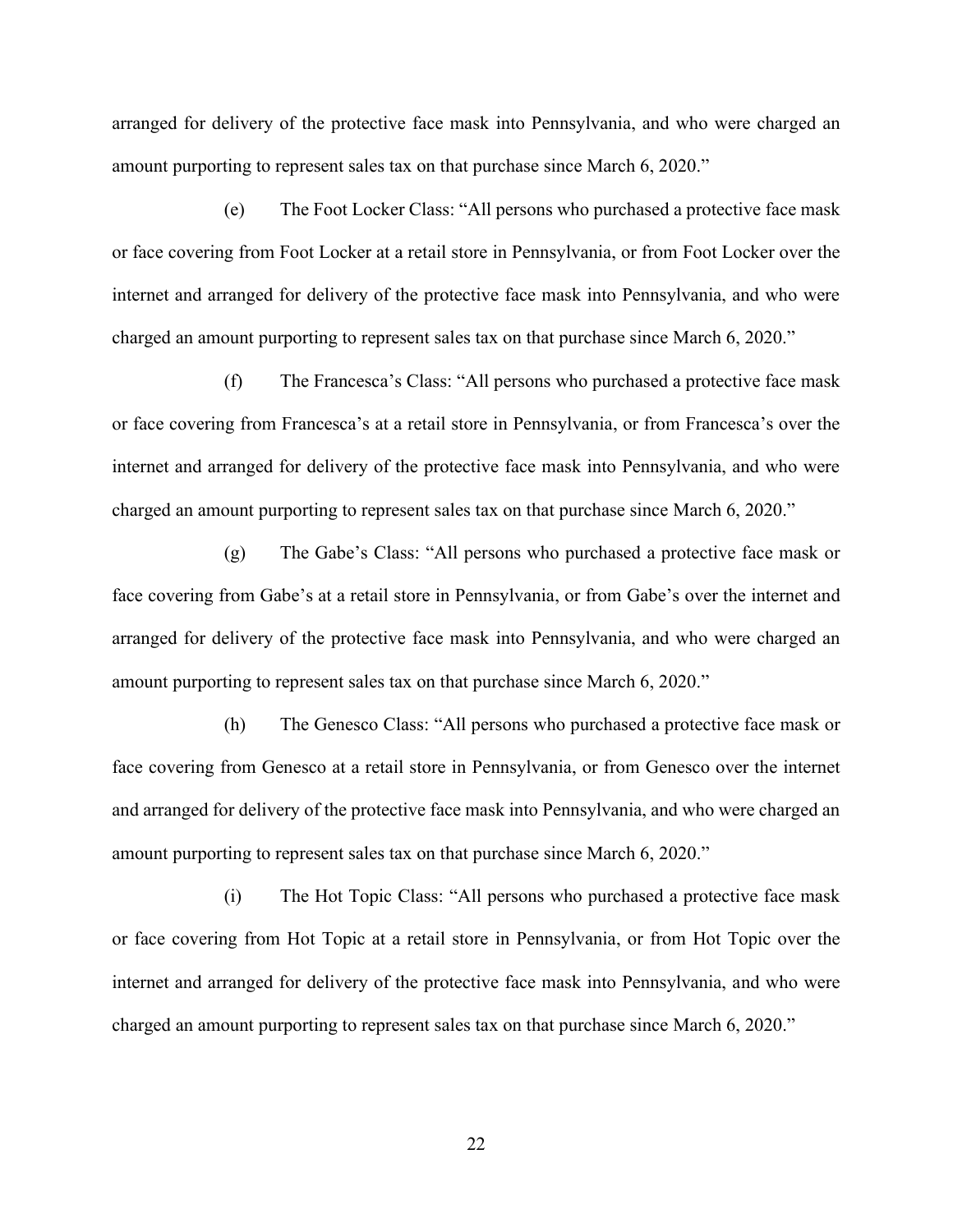arranged for delivery of the protective face mask into Pennsylvania, and who were charged an amount purporting to represent sales tax on that purchase since March 6, 2020.<sup>*''*</sup>

(e) The Foot Locker Class: "All persons who purchased a protective face mask or face covering from Foot Locker at a retail store in Pennsylvania, or from Foot Locker over the internet and arranged for delivery of the protective face mask into Pennsylvania, and who were charged an amount purporting to represent sales tax on that purchase since March 6, 2020.<sup>"</sup>

 $(f)$  The Francesca's Class: "All persons who purchased a protective face mask or face covering from Francesca's at a retail store in Pennsylvania, or from Francesca's over the internet and arranged for delivery of the protective face mask into Pennsylvania, and who were charged an amount purporting to represent sales tax on that purchase since March 6, 2020.<sup>\*</sup>

(g) The Gabe's Class: "All persons who purchased a protective face mask or face covering from Gabe's at a retail store in Pennsylvania, or from Gabe's over the internet and arranged for delivery of the protective face mask into Pennsylvania, and who were charged an amount purporting to represent sales tax on that purchase since March 6, 2020.<sup>\*</sup>

(h) The Genesco Class: "All persons who purchased a protective face mask or face covering from Genesco at a retail store in Pennsylvania, or from Genesco over the internet and arranged for delivery of the protective face mask into Pennsylvania, and who were charged an amount purporting to represent sales tax on that purchase since March 6, 2020.´

(i) The Hot Topic Class: "All persons who purchased a protective face mask or face covering from Hot Topic at a retail store in Pennsylvania, or from Hot Topic over the internet and arranged for delivery of the protective face mask into Pennsylvania, and who were charged an amount purporting to represent sales tax on that purchase since March 6, 2020.<sup>"</sup>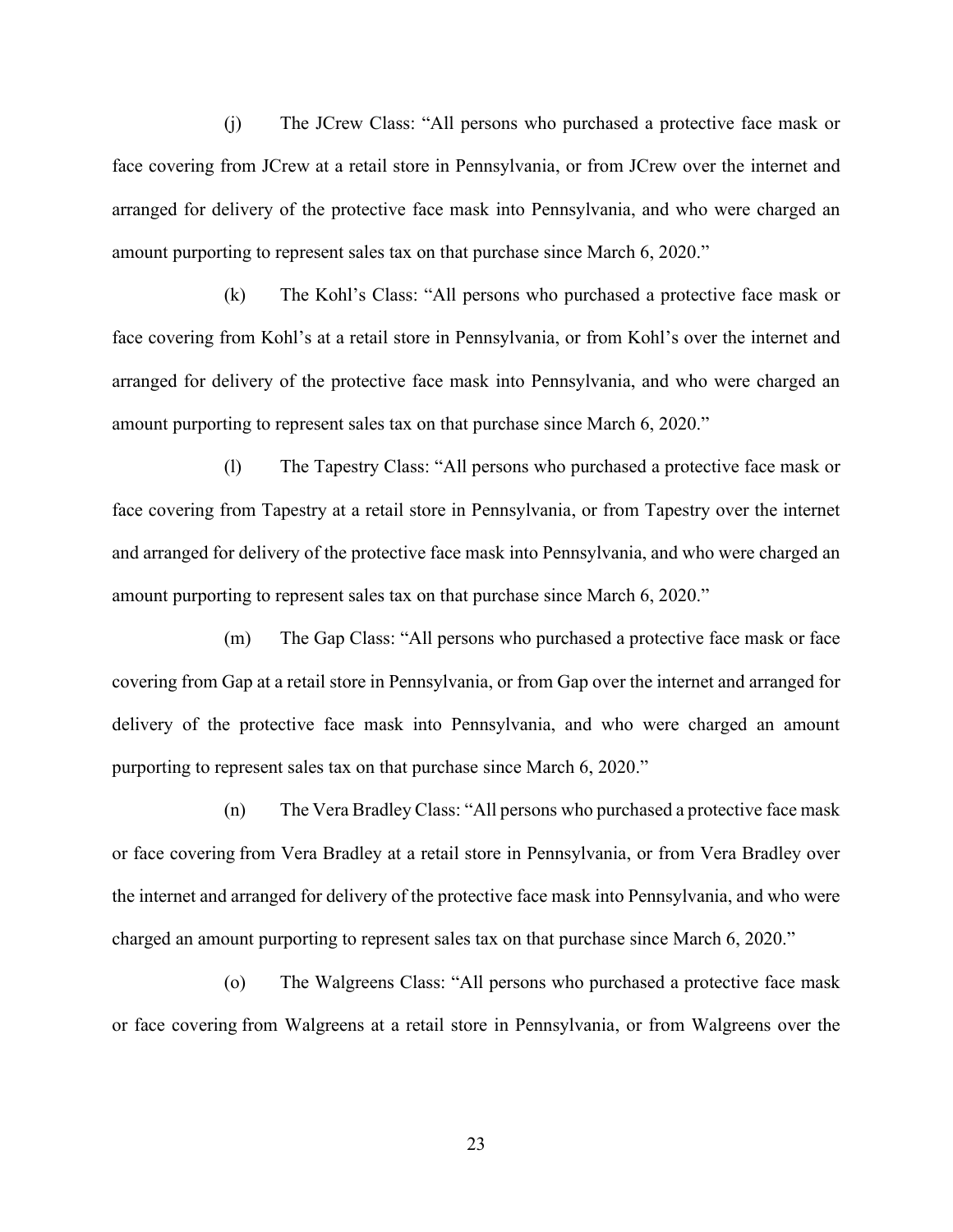(j) The JCrew Class: "All persons who purchased a protective face mask or face covering from JCrew at a retail store in Pennsylvania, or from JCrew over the internet and arranged for delivery of the protective face mask into Pennsylvania, and who were charged an amount purporting to represent sales tax on that purchase since March 6, 2020.<sup>"</sup>

(k) The Kohl's Class: "All persons who purchased a protective face mask or face covering from Kohl's at a retail store in Pennsylvania, or from Kohl's over the internet and arranged for delivery of the protective face mask into Pennsylvania, and who were charged an amount purporting to represent sales tax on that purchase since March 6, 2020.<sup>''</sup>

(I) The Tapestry Class: "All persons who purchased a protective face mask or face covering from Tapestry at a retail store in Pennsylvania, or from Tapestry over the internet and arranged for delivery of the protective face mask into Pennsylvania, and who were charged an amount purporting to represent sales tax on that purchase since March 6, 2020.<sup>''</sup>

(m) The Gap Class: "All persons who purchased a protective face mask or face covering from Gap at a retail store in Pennsylvania, or from Gap over the internet and arranged for delivery of the protective face mask into Pennsylvania, and who were charged an amount purporting to represent sales tax on that purchase since March 6, 2020.<sup>\*\*</sup>

(n) The Vera Bradley Class: "All persons who purchased a protective face mask or face covering from Vera Bradley at a retail store in Pennsylvania, or from Vera Bradley over the internet and arranged for delivery of the protective face mask into Pennsylvania, and who were charged an amount purporting to represent sales tax on that purchase since March 6, 2020.<sup>\*</sup>

(o) The Walgreens Class: "All persons who purchased a protective face mask or face covering from Walgreens at a retail store in Pennsylvania, or from Walgreens over the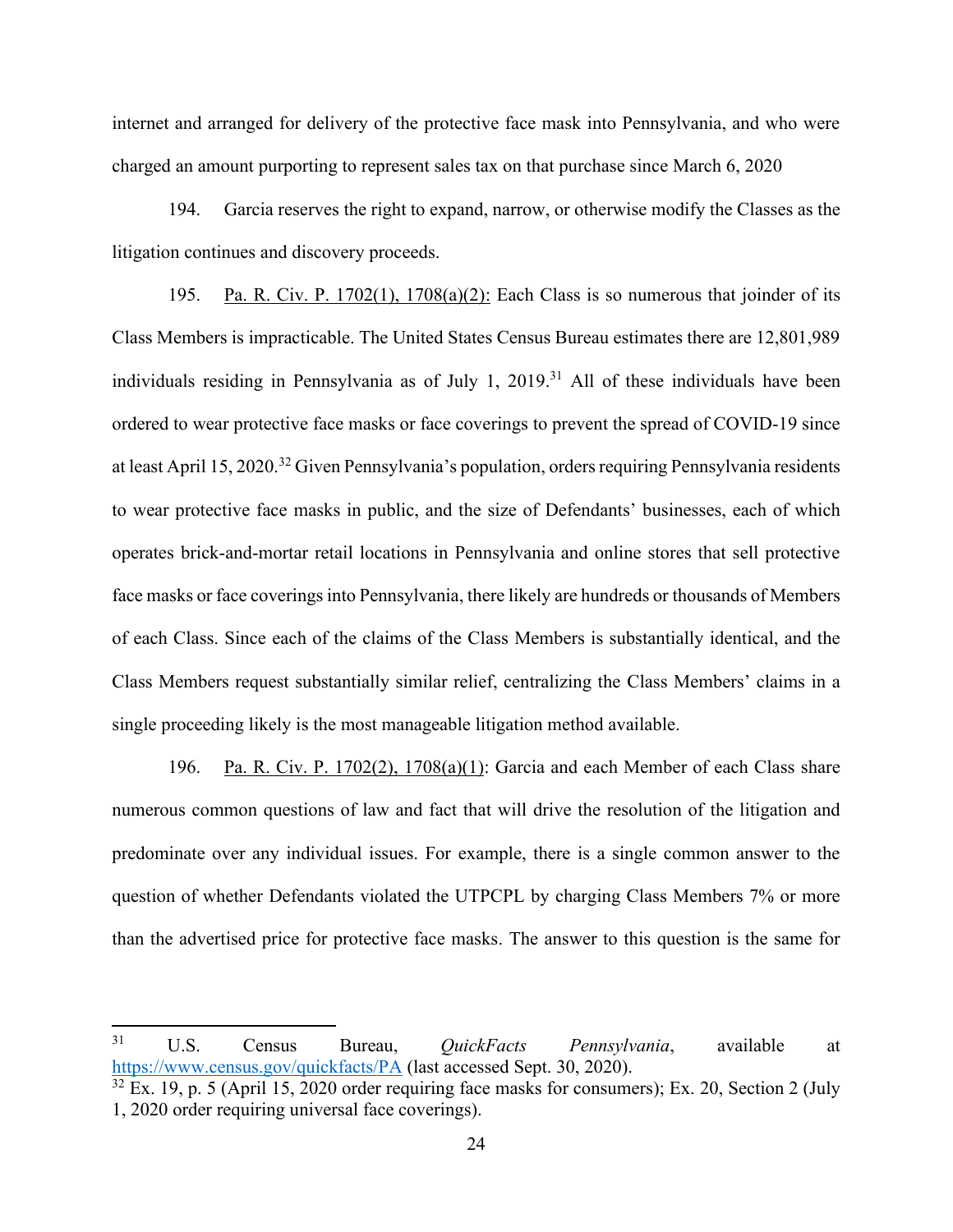internet and arranged for delivery of the protective face mask into Pennsylvania, and who were charged an amount purporting to represent sales tax on that purchase since March 6, 2020

194. Garcia reserves the right to expand, narrow, or otherwise modify the Classes as the litigation continues and discovery proceeds.

195. Pa. R. Civ. P. 1702(1), 1708(a)(2): Each Class is so numerous that joinder of its Class Members is impracticable. The United States Census Bureau estimates there are 12,801,989 individuals residing in Pennsylvania as of July 1, 2019. <sup>31</sup> All of these individuals have been ordered to wear protective face masks or face coverings to prevent the spread of COVID-19 since at least April 15, 2020.<sup>32</sup> Given Pennsylvania's population, orders requiring Pennsylvania residents to wear protective face masks in public, and the size of Defendants' businesses, each of which operates brick-and-mortar retail locations in Pennsylvania and online stores that sell protective face masks or face coverings into Pennsylvania, there likely are hundreds or thousands of Members of each Class. Since each of the claims of the Class Members is substantially identical, and the Class Members request substantially similar relief, centralizing the Class Members' claims in a single proceeding likely is the most manageable litigation method available.

196. Pa. R. Civ. P. 1702(2), 1708(a)(1): Garcia and each Member of each Class share numerous common questions of law and fact that will drive the resolution of the litigation and predominate over any individual issues. For example, there is a single common answer to the question of whether Defendants violated the UTPCPL by charging Class Members 7% or more than the advertised price for protective face masks. The answer to this question is the same for

<sup>31</sup> U.S. Census Bureau, *QuickFacts Pennsylvania*, available at https://www.census.gov/quickfacts/PA (last accessed Sept. 30, 2020).

 $32$  Ex. 19, p. 5 (April 15, 2020 order requiring face masks for consumers); Ex. 20, Section 2 (July 1, 2020 order requiring universal face coverings).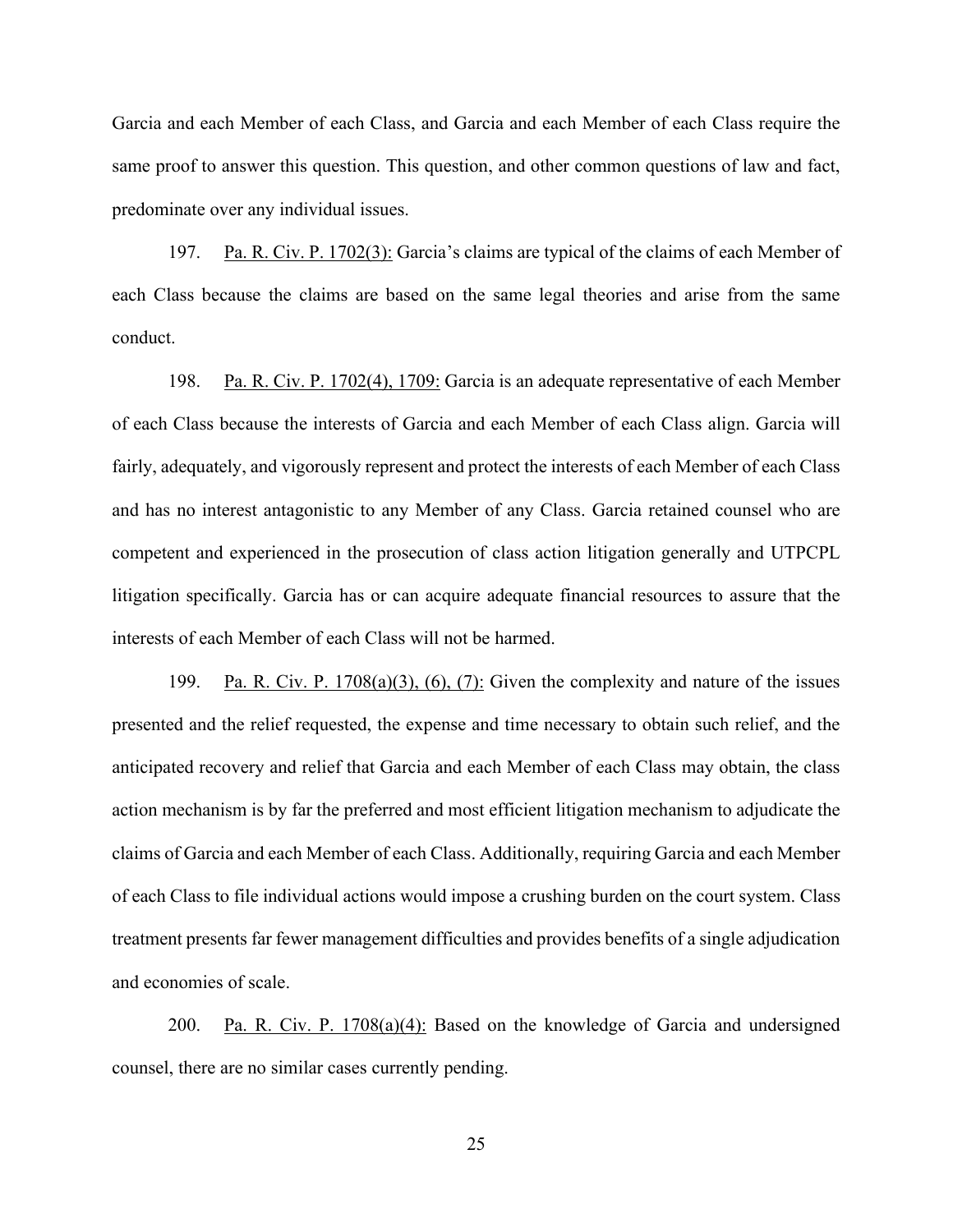Garcia and each Member of each Class, and Garcia and each Member of each Class require the same proof to answer this question. This question, and other common questions of law and fact, predominate over any individual issues.

197. Pa. R. Civ. P. 1702(3): Garcia's claims are typical of the claims of each Member of each Class because the claims are based on the same legal theories and arise from the same conduct.

198. Pa. R. Civ. P. 1702(4), 1709: Garcia is an adequate representative of each Member of each Class because the interests of Garcia and each Member of each Class align. Garcia will fairly, adequately, and vigorously represent and protect the interests of each Member of each Class and has no interest antagonistic to any Member of any Class. Garcia retained counsel who are competent and experienced in the prosecution of class action litigation generally and UTPCPL litigation specifically. Garcia has or can acquire adequate financial resources to assure that the interests of each Member of each Class will not be harmed.

199. Pa. R. Civ. P. 1708(a)(3), (6), (7): Given the complexity and nature of the issues presented and the relief requested, the expense and time necessary to obtain such relief, and the anticipated recovery and relief that Garcia and each Member of each Class may obtain, the class action mechanism is by far the preferred and most efficient litigation mechanism to adjudicate the claims of Garcia and each Member of each Class. Additionally, requiring Garcia and each Member of each Class to file individual actions would impose a crushing burden on the court system. Class treatment presents far fewer management difficulties and provides benefits of a single adjudication and economies of scale.

200. Pa. R. Civ. P.  $1708(a)(4)$ : Based on the knowledge of Garcia and undersigned counsel, there are no similar cases currently pending.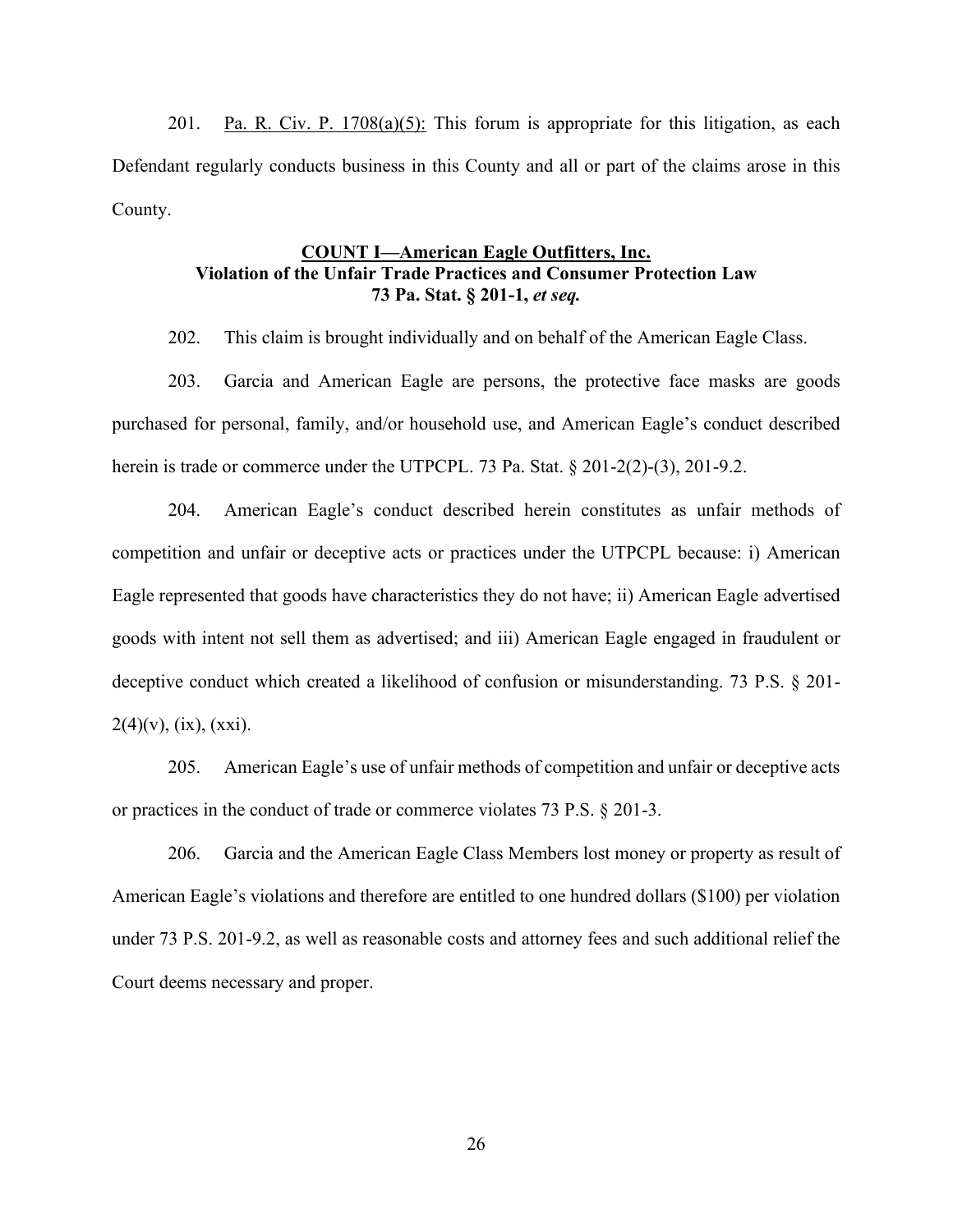201. Pa. R. Civ. P. 1708(a)(5): This forum is appropriate for this litigation, as each Defendant regularly conducts business in this County and all or part of the claims arose in this County.

# **COUNT I²American Eagle Outfitters, Inc. Violation of the Unfair Trade Practices and Consumer Protection Law 73 Pa. Stat. § 201-1,** *et seq.*

202. This claim is brought individually and on behalf of the American Eagle Class.

203. Garcia and American Eagle are persons, the protective face masks are goods purchased for personal, family, and/or household use, and American Eagle's conduct described herein is trade or commerce under the UTPCPL. 73 Pa. Stat. § 201-2(2)-(3), 201-9.2.

204. American Eagle's conduct described herein constitutes as unfair methods of competition and unfair or deceptive acts or practices under the UTPCPL because: i) American Eagle represented that goods have characteristics they do not have; ii) American Eagle advertised goods with intent not sell them as advertised; and iii) American Eagle engaged in fraudulent or deceptive conduct which created a likelihood of confusion or misunderstanding. 73 P.S. § 201-  $2(4)(v)$ , (ix), (xxi).

205. American Eagle's use of unfair methods of competition and unfair or deceptive acts or practices in the conduct of trade or commerce violates 73 P.S. § 201-3.

206. Garcia and the American Eagle Class Members lost money or property as result of American Eagle's violations and therefore are entitled to one hundred dollars (\$100) per violation under 73 P.S. 201-9.2, as well as reasonable costs and attorney fees and such additional relief the Court deems necessary and proper.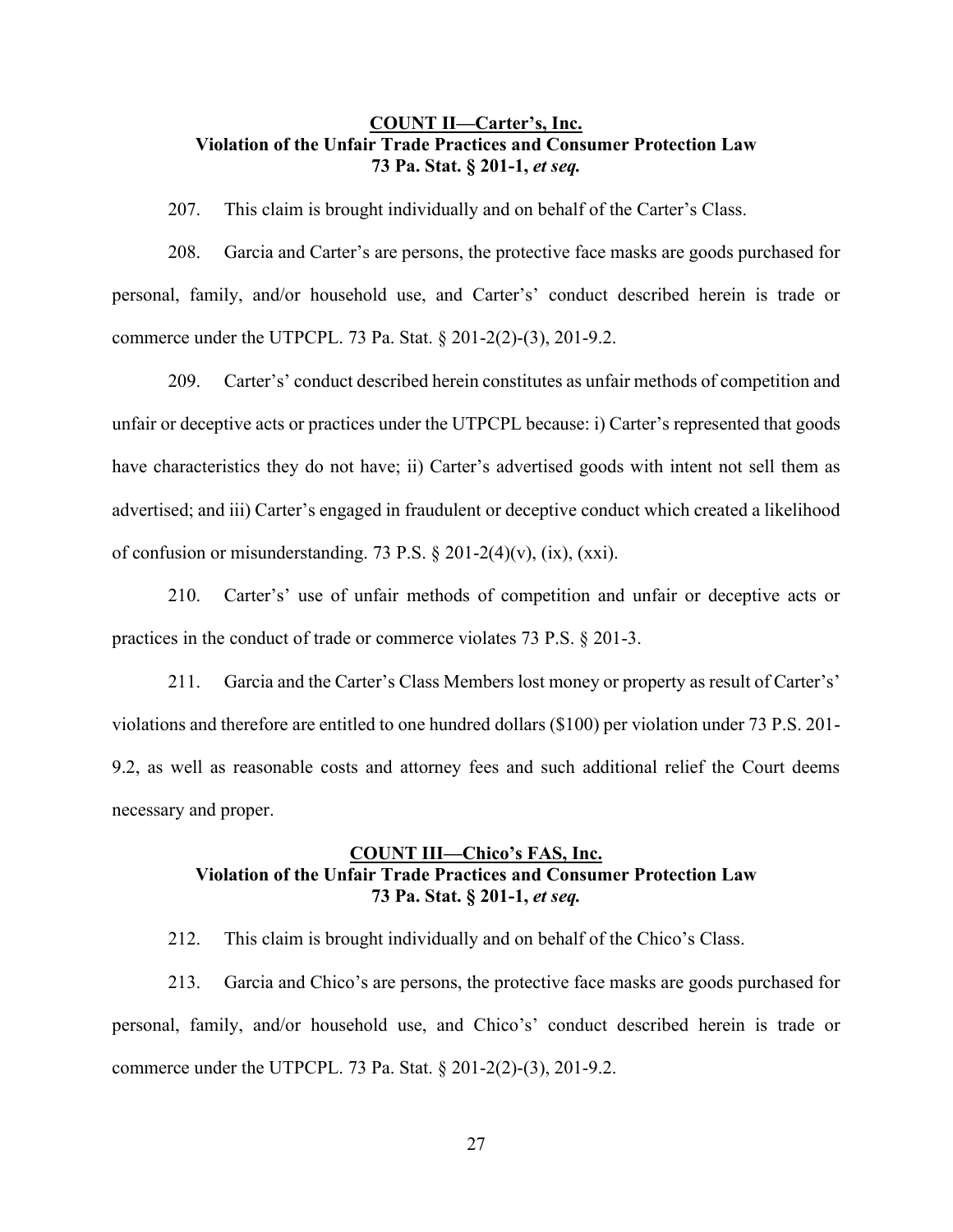## **COUNT II—Carter's, Inc. Violation of the Unfair Trade Practices and Consumer Protection Law 73 Pa. Stat. § 201-1,** *et seq.*

207. This claim is brought individually and on behalf of the Carter's Class.

208. Garcia and Carter's are persons, the protective face masks are goods purchased for personal, family, and/or household use, and Carter's' conduct described herein is trade or commerce under the UTPCPL. 73 Pa. Stat. § 201-2(2)-(3), 201-9.2.

209. Carter's' conduct described herein constitutes as unfair methods of competition and unfair or deceptive acts or practices under the UTPCPL because: i) Carter's represented that goods have characteristics they do not have; ii) Carter's advertised goods with intent not sell them as advertised; and iii) Carter's engaged in fraudulent or deceptive conduct which created a likelihood of confusion or misunderstanding. 73 P.S.  $\S 201-2(4)(v)$ , (ix), (xxi).

210. Carter's' use of unfair methods of competition and unfair or deceptive acts or practices in the conduct of trade or commerce violates 73 P.S. § 201-3.

211. Garcia and the Carter's Class Members lost money or property as result of Carter's' violations and therefore are entitled to one hundred dollars (\$100) per violation under 73 P.S. 201- 9.2, as well as reasonable costs and attorney fees and such additional relief the Court deems necessary and proper.

## **COUNT III—Chico's FAS, Inc. Violation of the Unfair Trade Practices and Consumer Protection Law 73 Pa. Stat. § 201-1,** *et seq.*

212. This claim is brought individually and on behalf of the Chico's Class.

213. Garcia and Chico's are persons, the protective face masks are goods purchased for personal, family, and/or household use, and Chico's' conduct described herein is trade or commerce under the UTPCPL. 73 Pa. Stat. § 201-2(2)-(3), 201-9.2.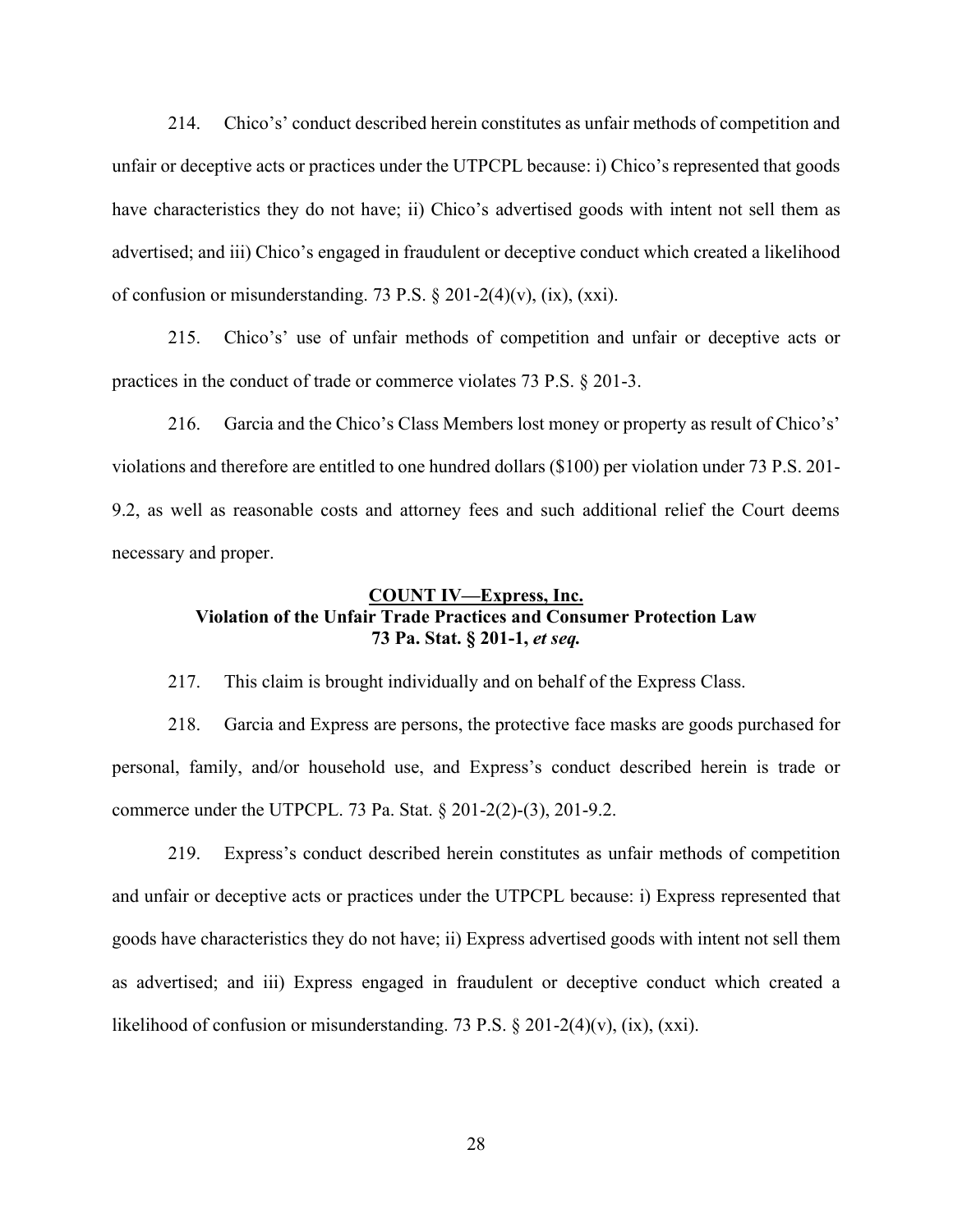214. Chico's' conduct described herein constitutes as unfair methods of competition and unfair or deceptive acts or practices under the UTPCPL because: i) Chico's represented that goods have characteristics they do not have; ii) Chico's advertised goods with intent not sell them as advertised; and iii) Chico's engaged in fraudulent or deceptive conduct which created a likelihood of confusion or misunderstanding. 73 P.S.  $\S 201-2(4)(v)$ , (ix), (xxi).

215. Chico's' use of unfair methods of competition and unfair or deceptive acts or practices in the conduct of trade or commerce violates 73 P.S. § 201-3.

216. Garcia and the Chico's Class Members lost money or property as result of Chico's' violations and therefore are entitled to one hundred dollars (\$100) per violation under 73 P.S. 201- 9.2, as well as reasonable costs and attorney fees and such additional relief the Court deems necessary and proper.

# **COUNT IV**—**Express**, Inc. **Violation of the Unfair Trade Practices and Consumer Protection Law 73 Pa. Stat. § 201-1,** *et seq.*

217. This claim is brought individually and on behalf of the Express Class.

218. Garcia and Express are persons, the protective face masks are goods purchased for personal, family, and/or household use, and Express's conduct described herein is trade or commerce under the UTPCPL. 73 Pa. Stat. § 201-2(2)-(3), 201-9.2.

219. Express's conduct described herein constitutes as unfair methods of competition and unfair or deceptive acts or practices under the UTPCPL because: i) Express represented that goods have characteristics they do not have; ii) Express advertised goods with intent not sell them as advertised; and iii) Express engaged in fraudulent or deceptive conduct which created a likelihood of confusion or misunderstanding. 73 P.S.  $\S 201-2(4)(v)$ , (ix), (xxi).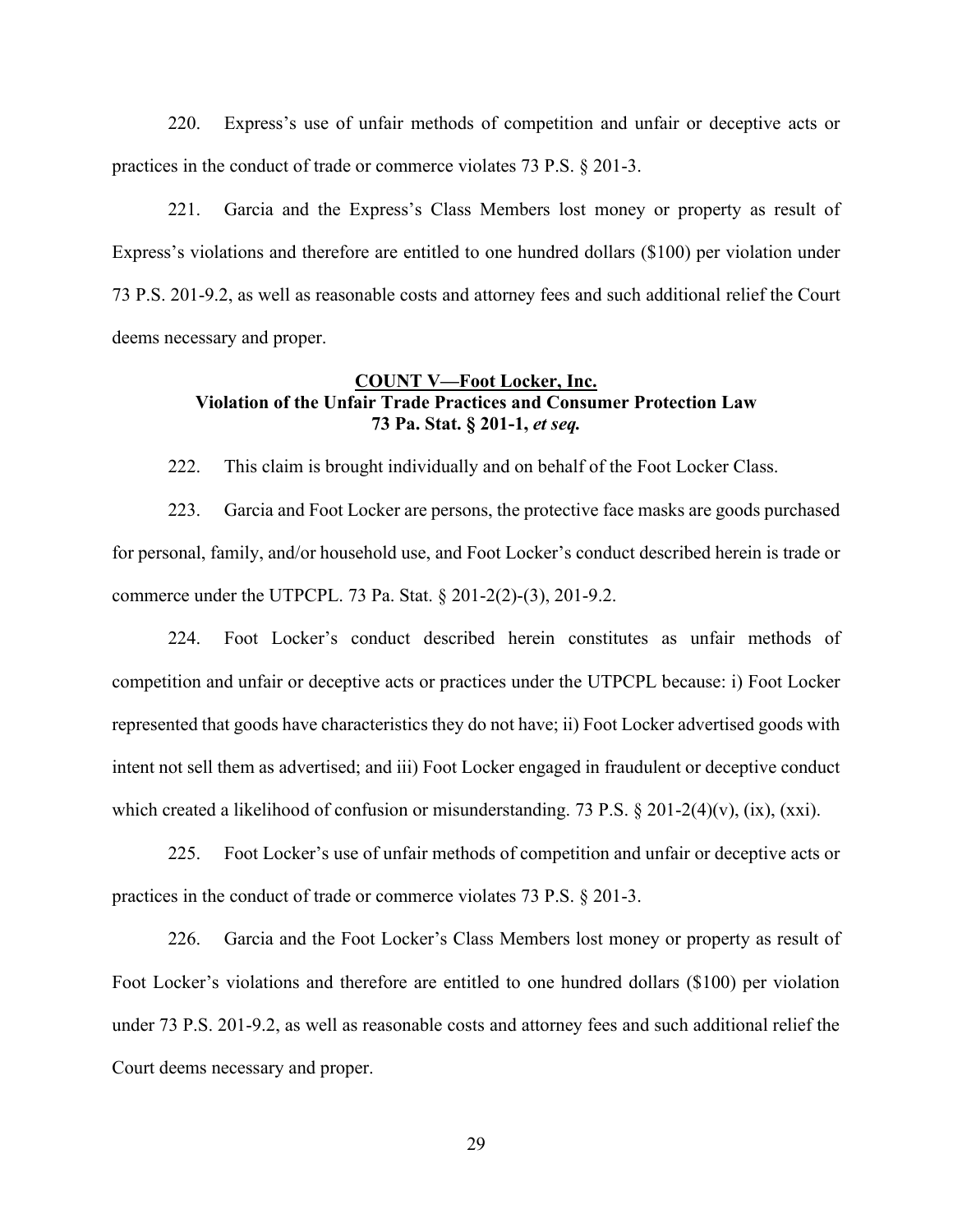220. Express's use of unfair methods of competition and unfair or deceptive acts or practices in the conduct of trade or commerce violates 73 P.S. § 201-3.

221. Garcia and the Express's Class Members lost money or property as result of Express's violations and therefore are entitled to one hundred dollars (\$100) per violation under 73 P.S. 201-9.2, as well as reasonable costs and attorney fees and such additional relief the Court deems necessary and proper.

## **COUNT V²Foot Locker, Inc. Violation of the Unfair Trade Practices and Consumer Protection Law 73 Pa. Stat. § 201-1,** *et seq.*

222. This claim is brought individually and on behalf of the Foot Locker Class.

223. Garcia and Foot Locker are persons, the protective face masks are goods purchased for personal, family, and/or household use, and Foot Locker's conduct described herein is trade or commerce under the UTPCPL. 73 Pa. Stat. § 201-2(2)-(3), 201-9.2.

224. Foot Locker's conduct described herein constitutes as unfair methods of competition and unfair or deceptive acts or practices under the UTPCPL because: i) Foot Locker represented that goods have characteristics they do not have; ii) Foot Locker advertised goods with intent not sell them as advertised; and iii) Foot Locker engaged in fraudulent or deceptive conduct which created a likelihood of confusion or misunderstanding. 73 P.S. § 201-2(4)(v), (ix), (xxi).

225. Foot Locker's use of unfair methods of competition and unfair or deceptive acts or practices in the conduct of trade or commerce violates 73 P.S. § 201-3.

226. Garcia and the Foot Locker's Class Members lost money or property as result of Foot Locker's violations and therefore are entitled to one hundred dollars (\$100) per violation under 73 P.S. 201-9.2, as well as reasonable costs and attorney fees and such additional relief the Court deems necessary and proper.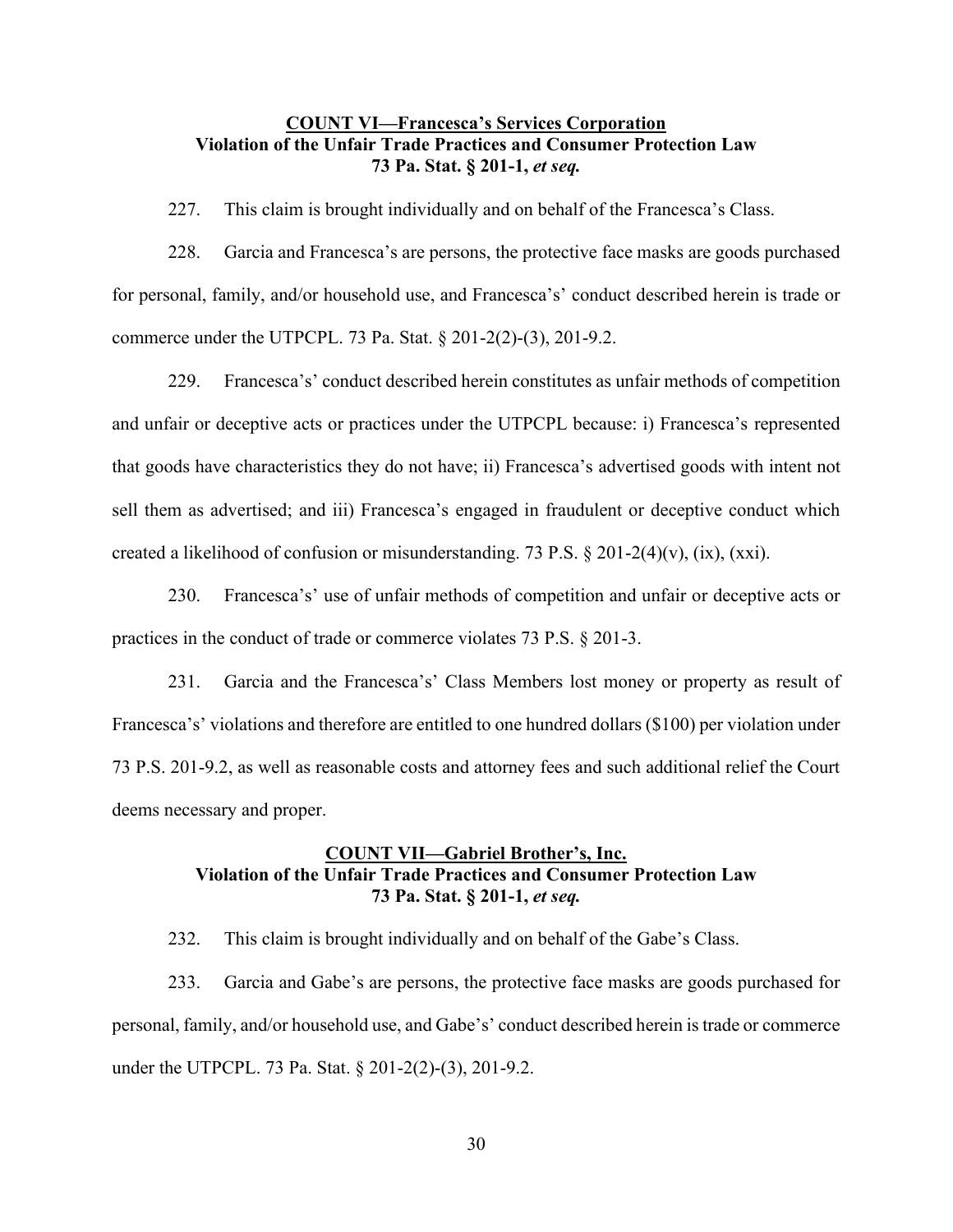# **COUNT VI—Francesca's Services Corporation Violation of the Unfair Trade Practices and Consumer Protection Law 73 Pa. Stat. § 201-1,** *et seq.*

227. This claim is brought individually and on behalf of the Francesca's Class.

228. Garcia and Francesca's are persons, the protective face masks are goods purchased for personal, family, and/or household use, and Francesca's' conduct described herein is trade or commerce under the UTPCPL. 73 Pa. Stat. § 201-2(2)-(3), 201-9.2.

229. Francesca's' conduct described herein constitutes as unfair methods of competition and unfair or deceptive acts or practices under the UTPCPL because: i) Francesca's represented that goods have characteristics they do not have; ii) Francesca's advertised goods with intent not sell them as advertised; and iii) Francesca's engaged in fraudulent or deceptive conduct which created a likelihood of confusion or misunderstanding. 73 P.S. § 201-2(4)(v), (ix), (xxi).

230. Francesca's' use of unfair methods of competition and unfair or deceptive acts or practices in the conduct of trade or commerce violates 73 P.S. § 201-3.

231. Garcia and the Francesca's' Class Members lost money or property as result of Francesca's' violations and therefore are entitled to one hundred dollars (\$100) per violation under 73 P.S. 201-9.2, as well as reasonable costs and attorney fees and such additional relief the Court deems necessary and proper.

## **COUNT VII—Gabriel Brother's, Inc. Violation of the Unfair Trade Practices and Consumer Protection Law 73 Pa. Stat. § 201-1,** *et seq.*

232. This claim is brought individually and on behalf of the Gabe's Class.

233. Garcia and Gabe's are persons, the protective face masks are goods purchased for personal, family, and/or household use, and Gabe's' conduct described herein is trade or commerce under the UTPCPL. 73 Pa. Stat. § 201-2(2)-(3), 201-9.2.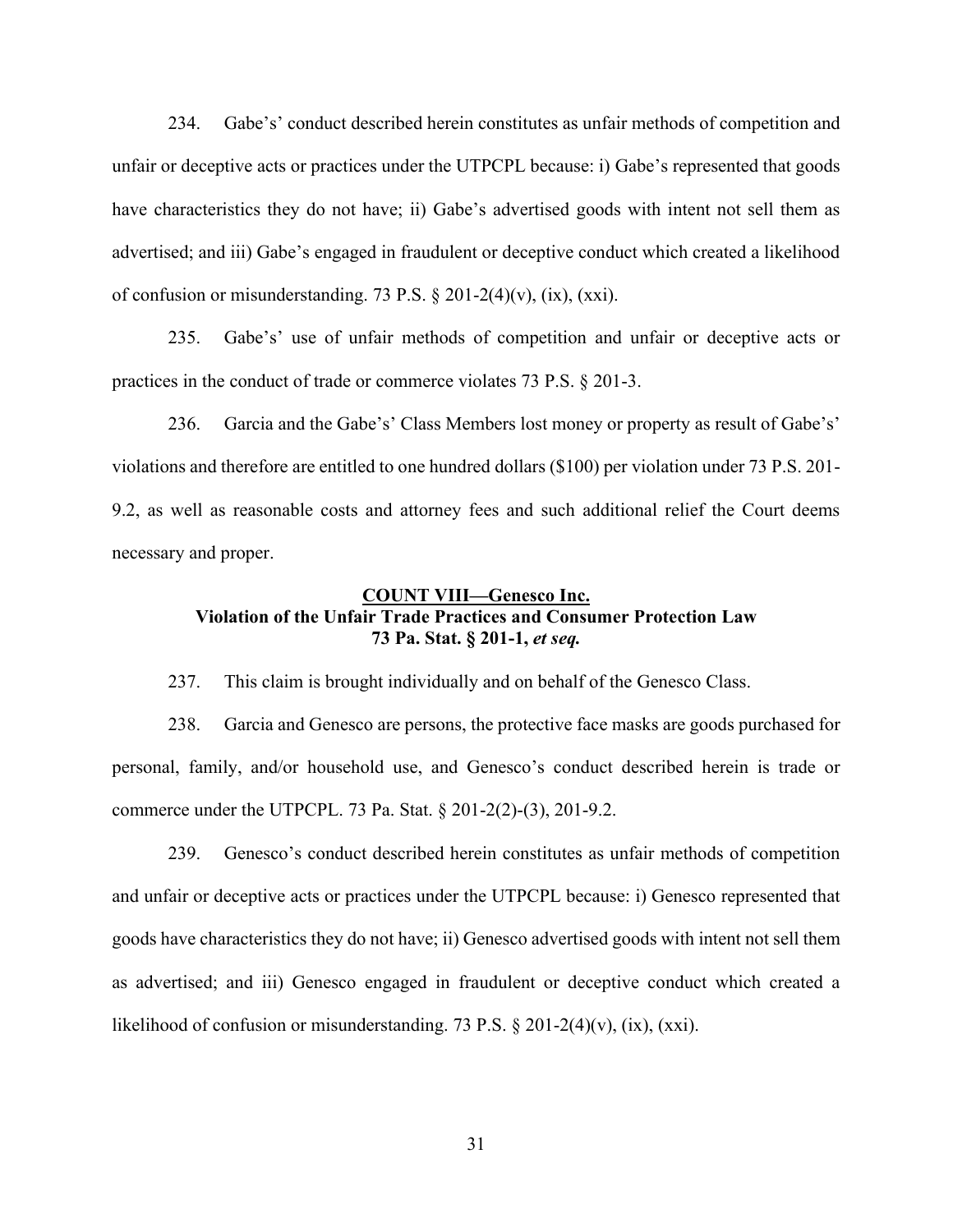234. Gabe's' conduct described herein constitutes as unfair methods of competition and unfair or deceptive acts or practices under the UTPCPL because: i) Gabe's represented that goods have characteristics they do not have; ii) Gabe's advertised goods with intent not sell them as advertised; and iii) Gabe's engaged in fraudulent or deceptive conduct which created a likelihood of confusion or misunderstanding. 73 P.S.  $\S 201-2(4)(v)$ , (ix), (xxi).

235. Gabe's' use of unfair methods of competition and unfair or deceptive acts or practices in the conduct of trade or commerce violates 73 P.S. § 201-3.

236. Garcia and the Gabe's' Class Members lost money or property as result of Gabe's' violations and therefore are entitled to one hundred dollars (\$100) per violation under 73 P.S. 201- 9.2, as well as reasonable costs and attorney fees and such additional relief the Court deems necessary and proper.

# **COUNT VIII**—Genesco Inc. **Violation of the Unfair Trade Practices and Consumer Protection Law 73 Pa. Stat. § 201-1,** *et seq.*

237. This claim is brought individually and on behalf of the Genesco Class.

238. Garcia and Genesco are persons, the protective face masks are goods purchased for personal, family, and/or household use, and Genesco's conduct described herein is trade or commerce under the UTPCPL. 73 Pa. Stat. § 201-2(2)-(3), 201-9.2.

239. Genesco's conduct described herein constitutes as unfair methods of competition and unfair or deceptive acts or practices under the UTPCPL because: i) Genesco represented that goods have characteristics they do not have; ii) Genesco advertised goods with intent not sell them as advertised; and iii) Genesco engaged in fraudulent or deceptive conduct which created a likelihood of confusion or misunderstanding. 73 P.S.  $\S 201-2(4)(v)$ , (ix), (xxi).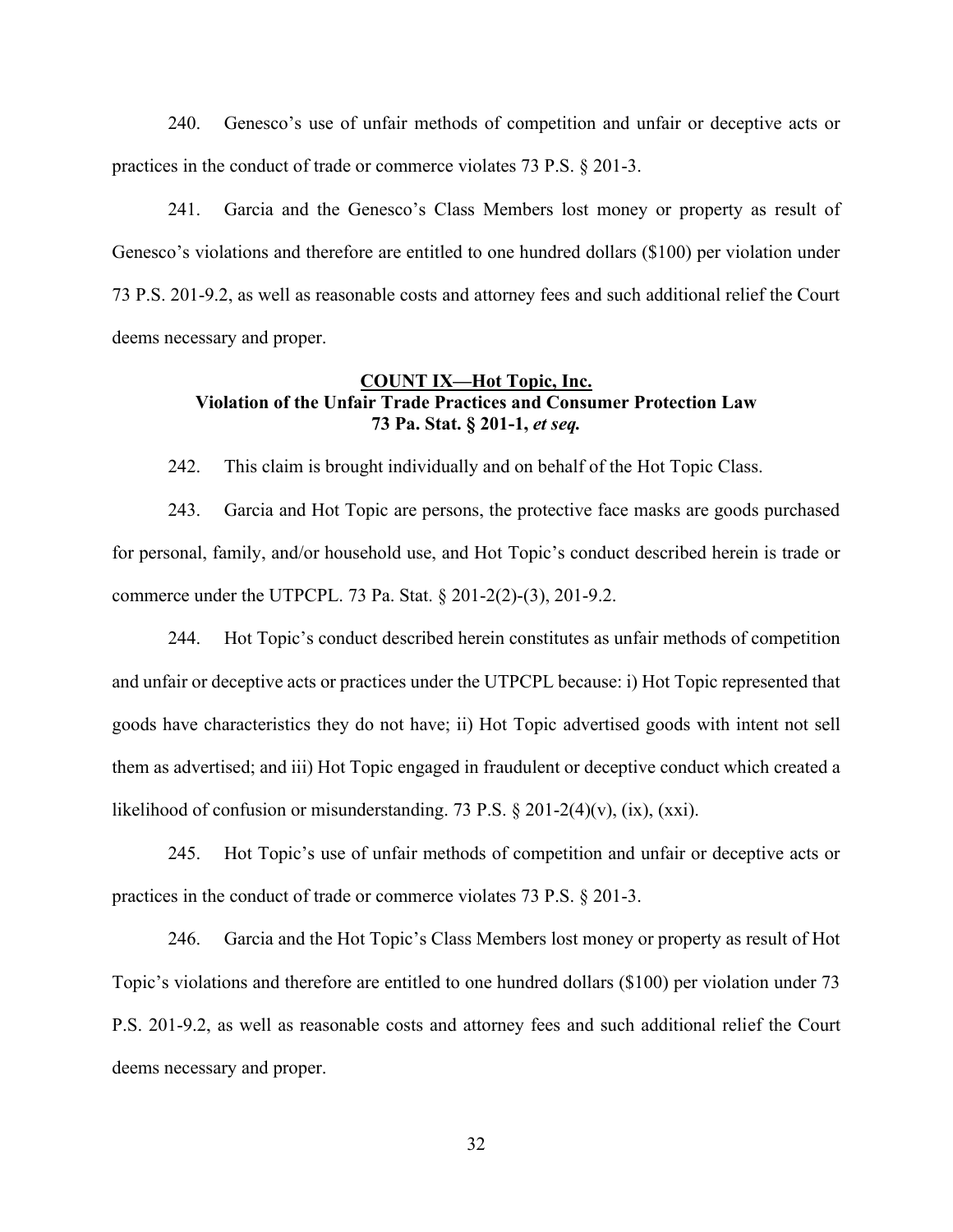240. Genesco's use of unfair methods of competition and unfair or deceptive acts or practices in the conduct of trade or commerce violates 73 P.S. § 201-3.

241. Garcia and the Genesco's Class Members lost money or property as result of Genesco's violations and therefore are entitled to one hundred dollars (\$100) per violation under 73 P.S. 201-9.2, as well as reasonable costs and attorney fees and such additional relief the Court deems necessary and proper.

## **COUNT IX²Hot Topic, Inc. Violation of the Unfair Trade Practices and Consumer Protection Law 73 Pa. Stat. § 201-1,** *et seq.*

242. This claim is brought individually and on behalf of the Hot Topic Class.

243. Garcia and Hot Topic are persons, the protective face masks are goods purchased for personal, family, and/or household use, and Hot Topic's conduct described herein is trade or commerce under the UTPCPL. 73 Pa. Stat. § 201-2(2)-(3), 201-9.2.

244. Hot Topic's conduct described herein constitutes as unfair methods of competition and unfair or deceptive acts or practices under the UTPCPL because: i) Hot Topic represented that goods have characteristics they do not have; ii) Hot Topic advertised goods with intent not sell them as advertised; and iii) Hot Topic engaged in fraudulent or deceptive conduct which created a likelihood of confusion or misunderstanding. 73 P.S.  $\S 201-2(4)(v)$ , (ix), (xxi).

245. Hot Topic's use of unfair methods of competition and unfair or deceptive acts or practices in the conduct of trade or commerce violates 73 P.S. § 201-3.

246. Garcia and the Hot Topic's Class Members lost money or property as result of Hot Topic's violations and therefore are entitled to one hundred dollars (\$100) per violation under 73 P.S. 201-9.2, as well as reasonable costs and attorney fees and such additional relief the Court deems necessary and proper.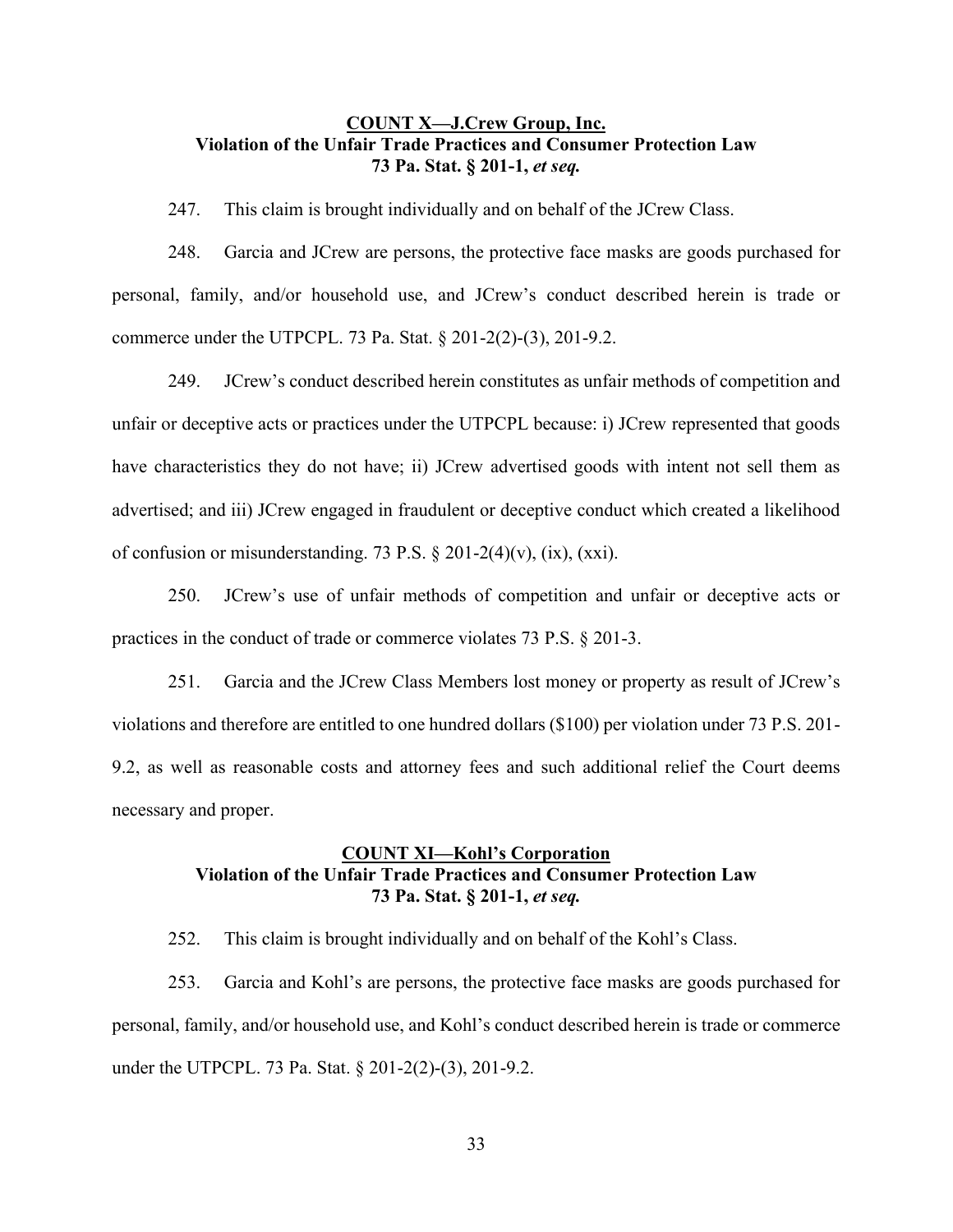# **COUNT X²J.Crew Group, Inc. Violation of the Unfair Trade Practices and Consumer Protection Law 73 Pa. Stat. § 201-1,** *et seq.*

247. This claim is brought individually and on behalf of the JCrew Class.

248. Garcia and JCrew are persons, the protective face masks are goods purchased for personal, family, and/or household use, and JCrew's conduct described herein is trade or commerce under the UTPCPL. 73 Pa. Stat. § 201-2(2)-(3), 201-9.2.

249. JCrew's conduct described herein constitutes as unfair methods of competition and unfair or deceptive acts or practices under the UTPCPL because: i) JCrew represented that goods have characteristics they do not have; ii) JCrew advertised goods with intent not sell them as advertised; and iii) JCrew engaged in fraudulent or deceptive conduct which created a likelihood of confusion or misunderstanding. 73 P.S.  $\S 201-2(4)(v)$ , (ix), (xxi).

250. JCrew's use of unfair methods of competition and unfair or deceptive acts or practices in the conduct of trade or commerce violates 73 P.S. § 201-3.

251. Garcia and the JCrew Class Members lost money or property as result of JCrew's violations and therefore are entitled to one hundred dollars (\$100) per violation under 73 P.S. 201- 9.2, as well as reasonable costs and attorney fees and such additional relief the Court deems necessary and proper.

## **COUNT XI—Kohl's Corporation Violation of the Unfair Trade Practices and Consumer Protection Law 73 Pa. Stat. § 201-1,** *et seq.*

252. This claim is brought individually and on behalf of the Kohl's Class.

253. Garcia and Kohl's are persons, the protective face masks are goods purchased for personal, family, and/or household use, and Kohl's conduct described herein is trade or commerce under the UTPCPL. 73 Pa. Stat. § 201-2(2)-(3), 201-9.2.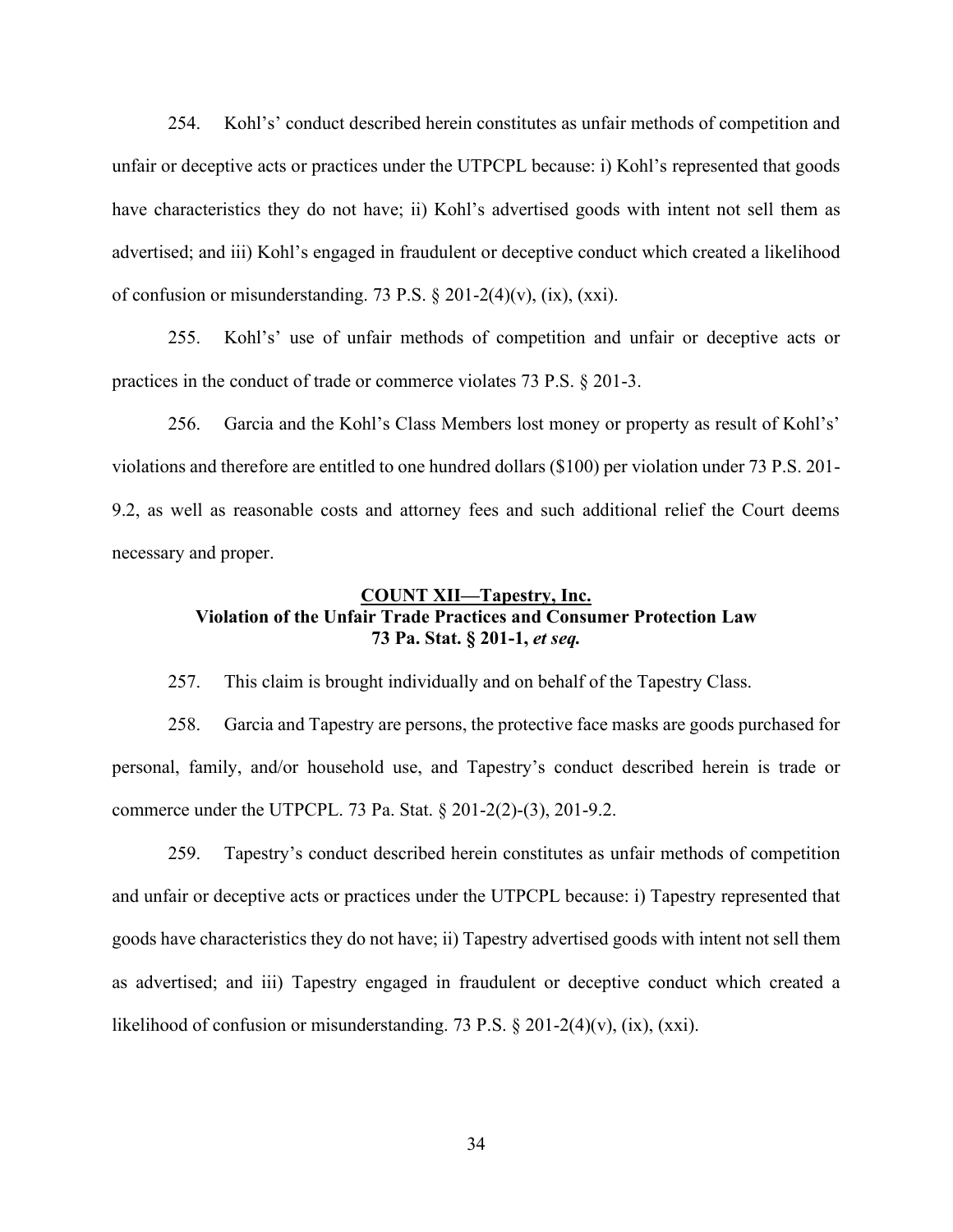254. Kohl's' conduct described herein constitutes as unfair methods of competition and unfair or deceptive acts or practices under the UTPCPL because: i) Kohl's represented that goods have characteristics they do not have; ii) Kohl's advertised goods with intent not sell them as advertised; and iii) Kohl's engaged in fraudulent or deceptive conduct which created a likelihood of confusion or misunderstanding. 73 P.S.  $\S 201-2(4)(v)$ , (ix), (xxi).

255. Kohl's' use of unfair methods of competition and unfair or deceptive acts or practices in the conduct of trade or commerce violates 73 P.S. § 201-3.

256. Garcia and the Kohl's Class Members lost money or property as result of Kohl's' violations and therefore are entitled to one hundred dollars (\$100) per violation under 73 P.S. 201- 9.2, as well as reasonable costs and attorney fees and such additional relief the Court deems necessary and proper.

# **COUNT XII²Tapestry, Inc. Violation of the Unfair Trade Practices and Consumer Protection Law 73 Pa. Stat. § 201-1,** *et seq.*

257. This claim is brought individually and on behalf of the Tapestry Class.

258. Garcia and Tapestry are persons, the protective face masks are goods purchased for personal, family, and/or household use, and Tapestry's conduct described herein is trade or commerce under the UTPCPL. 73 Pa. Stat. § 201-2(2)-(3), 201-9.2.

259. Tapestry's conduct described herein constitutes as unfair methods of competition and unfair or deceptive acts or practices under the UTPCPL because: i) Tapestry represented that goods have characteristics they do not have; ii) Tapestry advertised goods with intent not sell them as advertised; and iii) Tapestry engaged in fraudulent or deceptive conduct which created a likelihood of confusion or misunderstanding. 73 P.S.  $\S 201-2(4)(v)$ , (ix), (xxi).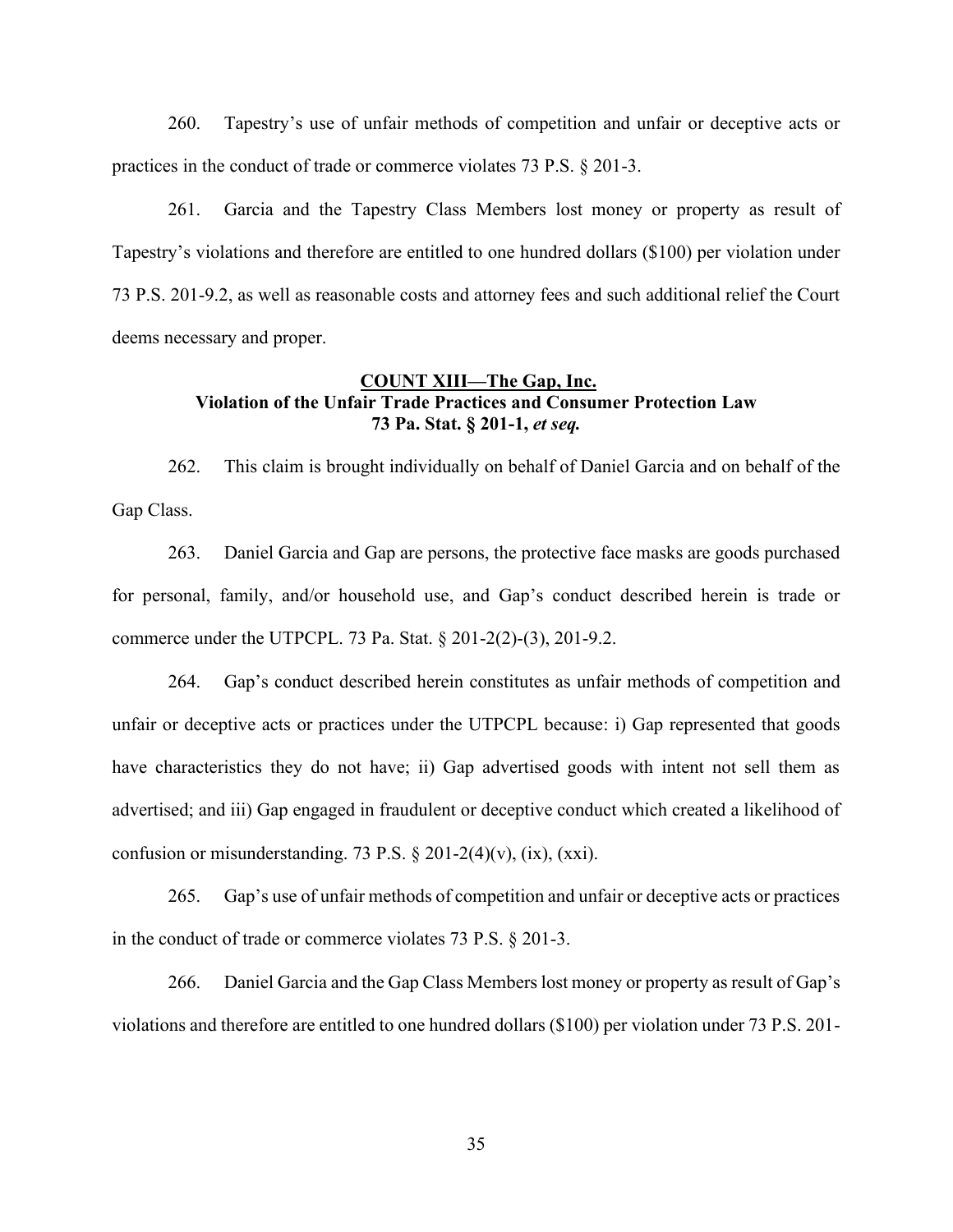260. Tapestry's use of unfair methods of competition and unfair or deceptive acts or practices in the conduct of trade or commerce violates 73 P.S. § 201-3.

261. Garcia and the Tapestry Class Members lost money or property as result of Tapestry's violations and therefore are entitled to one hundred dollars (\$100) per violation under 73 P.S. 201-9.2, as well as reasonable costs and attorney fees and such additional relief the Court deems necessary and proper.

## **COUNT XIII²The Gap, Inc. Violation of the Unfair Trade Practices and Consumer Protection Law 73 Pa. Stat. § 201-1,** *et seq.*

262. This claim is brought individually on behalf of Daniel Garcia and on behalf of the Gap Class.

263. Daniel Garcia and Gap are persons, the protective face masks are goods purchased for personal, family, and/or household use, and Gap's conduct described herein is trade or commerce under the UTPCPL. 73 Pa. Stat. § 201-2(2)-(3), 201-9.2.

264. Gap's conduct described herein constitutes as unfair methods of competition and unfair or deceptive acts or practices under the UTPCPL because: i) Gap represented that goods have characteristics they do not have; ii) Gap advertised goods with intent not sell them as advertised; and iii) Gap engaged in fraudulent or deceptive conduct which created a likelihood of confusion or misunderstanding. 73 P.S.  $\S 201-2(4)(v)$ , (ix), (xxi).

265. Gap's use of unfair methods of competition and unfair or deceptive acts or practices in the conduct of trade or commerce violates 73 P.S. § 201-3.

266. Daniel Garcia and the Gap Class Members lost money or property as result of Gap's violations and therefore are entitled to one hundred dollars (\$100) per violation under 73 P.S. 201-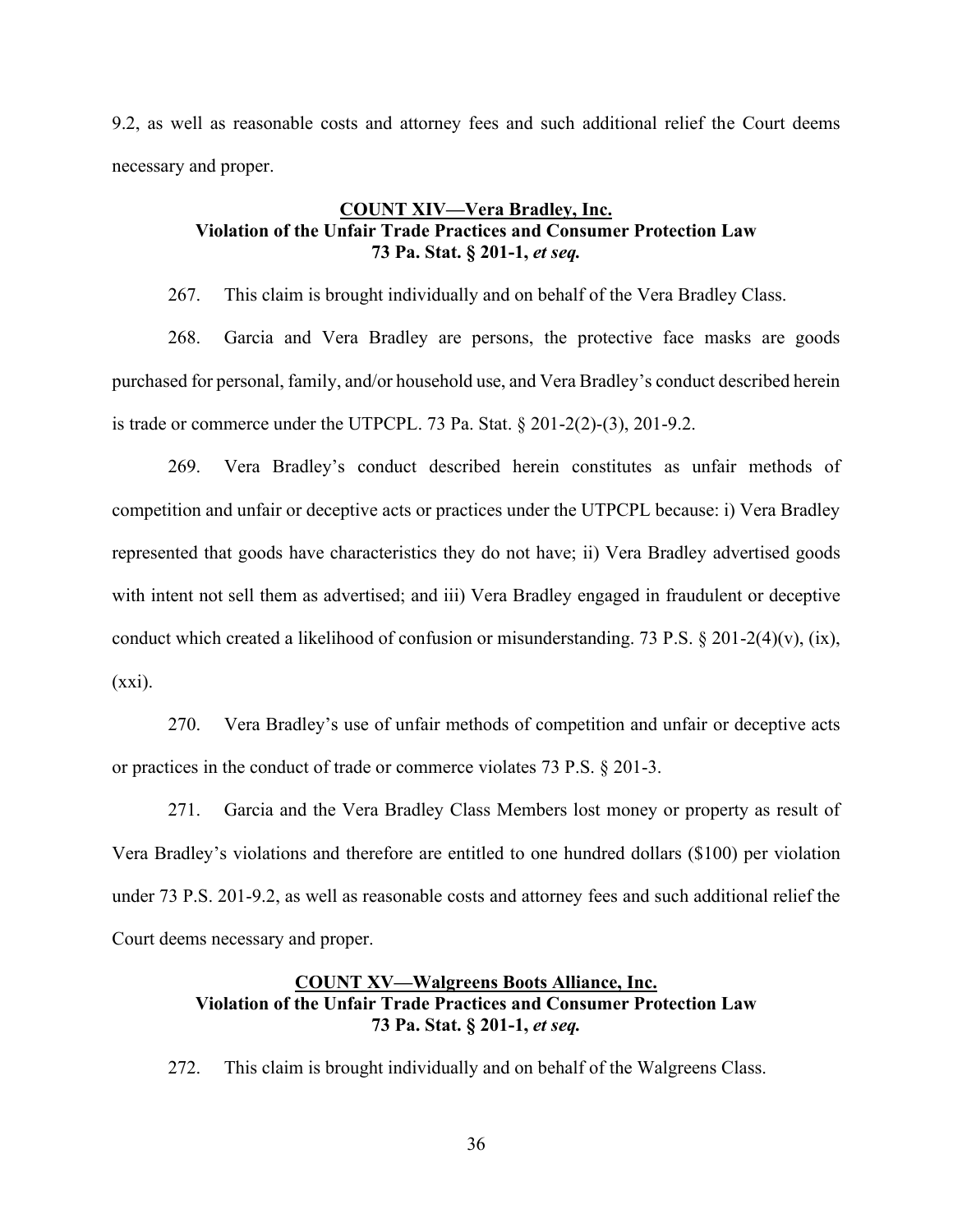9.2, as well as reasonable costs and attorney fees and such additional relief the Court deems necessary and proper.

## **COUNT XIV²Vera Bradley, Inc. Violation of the Unfair Trade Practices and Consumer Protection Law 73 Pa. Stat. § 201-1,** *et seq.*

267. This claim is brought individually and on behalf of the Vera Bradley Class.

268. Garcia and Vera Bradley are persons, the protective face masks are goods purchased for personal, family, and/or household use, and Vera Bradley's conduct described herein is trade or commerce under the UTPCPL. 73 Pa. Stat.  $\S 201-2(2)-(3)$ , 201-9.2.

269. Vera Bradley's conduct described herein constitutes as unfair methods of competition and unfair or deceptive acts or practices under the UTPCPL because: i) Vera Bradley represented that goods have characteristics they do not have; ii) Vera Bradley advertised goods with intent not sell them as advertised; and iii) Vera Bradley engaged in fraudulent or deceptive conduct which created a likelihood of confusion or misunderstanding. 73 P.S. § 201-2(4)(v), (ix),  $(xxi)$ .

270. Vera Bradley's use of unfair methods of competition and unfair or deceptive acts or practices in the conduct of trade or commerce violates 73 P.S. § 201-3.

271. Garcia and the Vera Bradley Class Members lost money or property as result of Vera Bradley's violations and therefore are entitled to one hundred dollars (\$100) per violation under 73 P.S. 201-9.2, as well as reasonable costs and attorney fees and such additional relief the Court deems necessary and proper.

## **COUNT XV²Walgreens Boots Alliance, Inc. Violation of the Unfair Trade Practices and Consumer Protection Law 73 Pa. Stat. § 201-1,** *et seq.*

272. This claim is brought individually and on behalf of the Walgreens Class.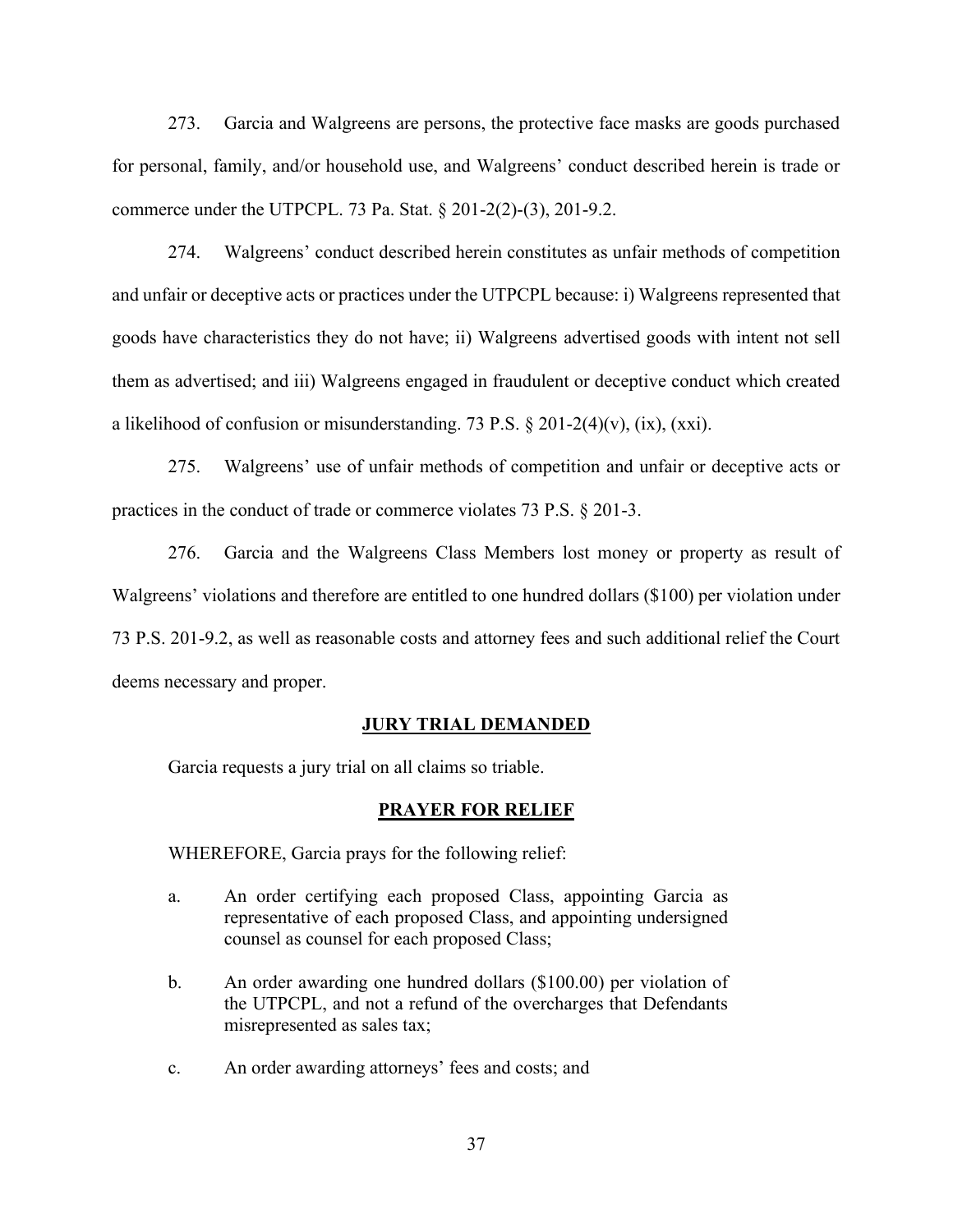273. Garcia and Walgreens are persons, the protective face masks are goods purchased for personal, family, and/or household use, and Walgreens' conduct described herein is trade or commerce under the UTPCPL. 73 Pa. Stat. § 201-2(2)-(3), 201-9.2.

274. Walgreens' conduct described herein constitutes as unfair methods of competition and unfair or deceptive acts or practices under the UTPCPL because: i) Walgreens represented that goods have characteristics they do not have; ii) Walgreens advertised goods with intent not sell them as advertised; and iii) Walgreens engaged in fraudulent or deceptive conduct which created a likelihood of confusion or misunderstanding. 73 P.S.  $\S 201-2(4)(v)$ , (ix), (xxi).

275. Walgreens' use of unfair methods of competition and unfair or deceptive acts or practices in the conduct of trade or commerce violates 73 P.S. § 201-3.

276. Garcia and the Walgreens Class Members lost money or property as result of Walgreens' violations and therefore are entitled to one hundred dollars (\$100) per violation under 73 P.S. 201-9.2, as well as reasonable costs and attorney fees and such additional relief the Court deems necessary and proper.

#### **JURY TRIAL DEMANDED**

Garcia requests a jury trial on all claims so triable.

#### **PRAYER FOR RELIEF**

WHEREFORE, Garcia prays for the following relief:

- a. An order certifying each proposed Class, appointing Garcia as representative of each proposed Class, and appointing undersigned counsel as counsel for each proposed Class;
- b. An order awarding one hundred dollars (\$100.00) per violation of the UTPCPL, and not a refund of the overcharges that Defendants misrepresented as sales tax;
- c. An order awarding attorneys' fees and costs; and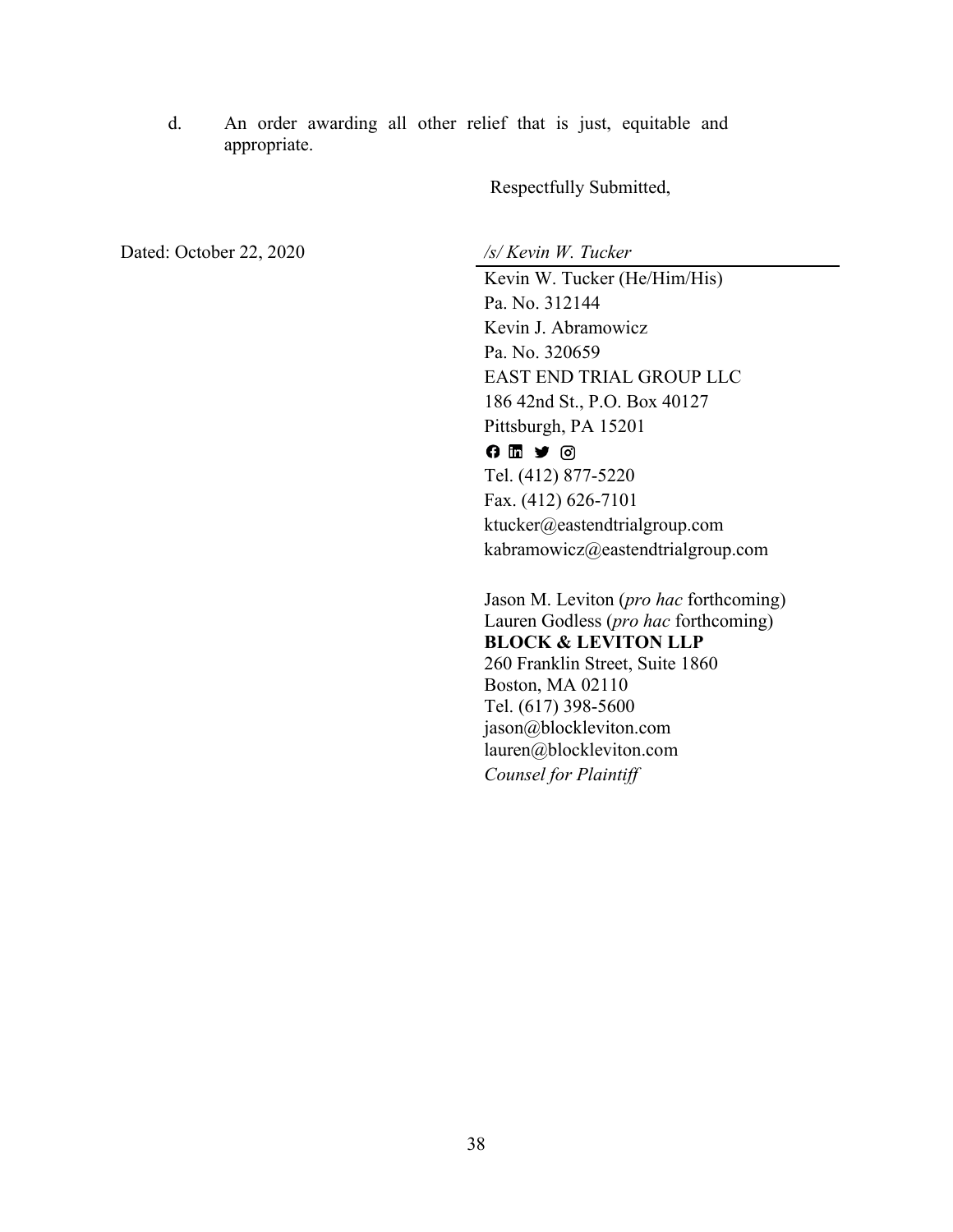d. An order awarding all other relief that is just, equitable and appropriate.

Respectfully Submitted,

Dated: October 22, 2020 */s/ Kevin W. Tucker*

Kevin W. Tucker (He/Him/His) Pa. No. 312144 Kevin J. Abramowicz Pa. No. 320659 EAST END TRIAL GROUP LLC 186 42nd St., P.O. Box 40127 Pittsburgh, PA 15201  $0 1 2 0$ Tel. (412) 877-5220 Fax. (412) 626-7101 ktucker@eastendtrialgroup.com kabramowicz@eastendtrialgroup.com

Jason M. Leviton (*pro hac* forthcoming) Lauren Godless (*pro hac* forthcoming) **BLOCK & LEVITON LLP** 260 Franklin Street, Suite 1860 Boston, MA 02110 Tel. (617) 398-5600 jason@blockleviton.com lauren@blockleviton.com *Counsel for Plaintiff*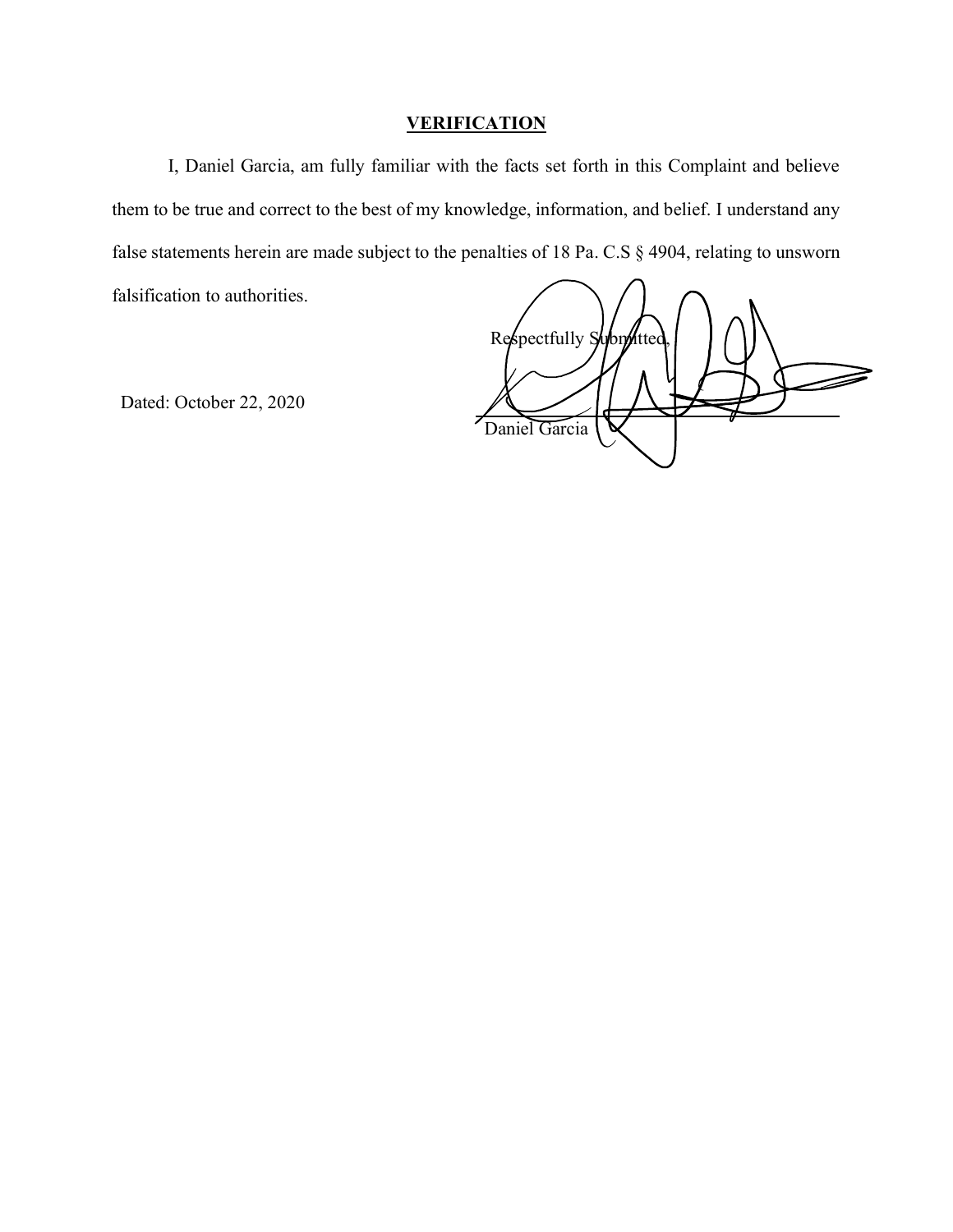# **VERIFICATION**

I, Daniel Garcia, am fully familiar with the facts set forth in this Complaint and believe them to be true and correct to the best of my knowledge, information, and belief. I understand any false statements herein are made subject to the penalties of 18 Pa. C.S § 4904, relating to unsworn falsification to authorities.

Respectfully Submitted Daniel Garcia

Dated: October 22, 2020